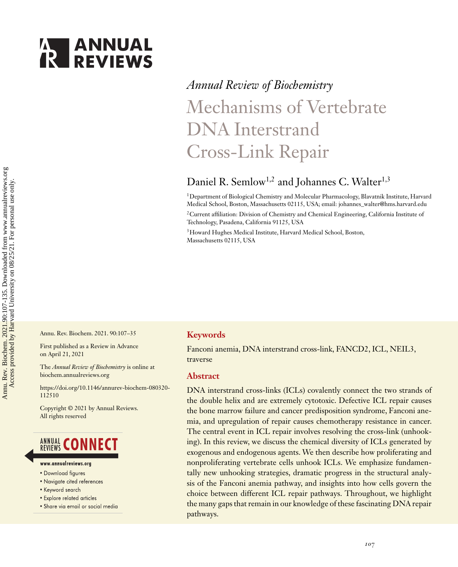

# *Annual Review of Biochemistry* Mechanisms of Vertebrate DNA Interstrand Cross-Link Repair

## Daniel R. Semlow<sup>1,2</sup> and Johannes C. Walter<sup>1,3</sup>

1Department of Biological Chemistry and Molecular Pharmacology, Blavatnik Institute, Harvard Medical School, Boston, Massachusetts 02115, USA; email: [johannes\\_walter@hms.harvard.edu](mailto:johannes_walter@hms.harvard.edu)

2Current affiliation: Division of Chemistry and Chemical Engineering, California Institute of Technology, Pasadena, California 91125, USA

<sup>3</sup> Howard Hughes Medical Institute, Harvard Medical School, Boston, Massachusetts 02115, USA

Annu. Rev. Biochem. 2021. 90:107–35

First published as a Review in Advance on April 21, 2021

The *Annual Review of Biochemistry* is online at biochem.annualreviews.org

[https://doi.org/10.1146/annurev-biochem-080320-](https://doi.org/10.1146/annurev-biochem-080320-112510) 112510

Copyright © 2021 by Annual Reviews. All rights reserved

## **ANNUAL CONNECT**

- www.annualreviews.ora
- · Download figures
- Navigate cited references
- Keyword search
- Explore related articles
- · Share via email or social media

#### **Keywords**

Fanconi anemia, DNA interstrand cross-link, FANCD2, ICL, NEIL3, traverse

#### **Abstract**

DNA interstrand cross-links (ICLs) covalently connect the two strands of the double helix and are extremely cytotoxic. Defective ICL repair causes the bone marrow failure and cancer predisposition syndrome, Fanconi anemia, and upregulation of repair causes chemotherapy resistance in cancer. The central event in ICL repair involves resolving the cross-link (unhooking). In this review, we discuss the chemical diversity of ICLs generated by exogenous and endogenous agents. We then describe how proliferating and nonproliferating vertebrate cells unhook ICLs. We emphasize fundamentally new unhooking strategies, dramatic progress in the structural analysis of the Fanconi anemia pathway, and insights into how cells govern the choice between different ICL repair pathways. Throughout, we highlight the many gaps that remain in our knowledge of these fascinating DNA repair pathways.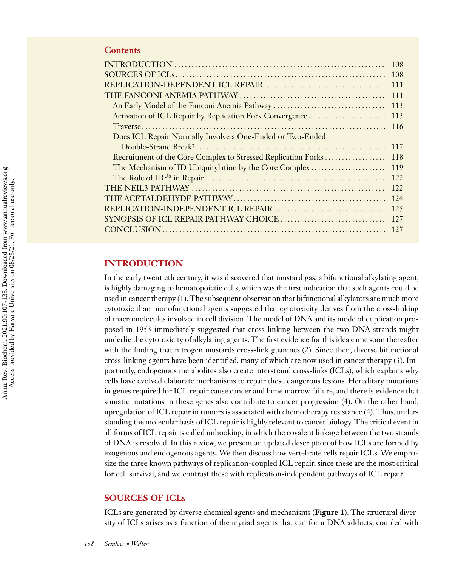#### **Contents**

|                                                               | 108 |
|---------------------------------------------------------------|-----|
|                                                               | 108 |
|                                                               | 111 |
|                                                               | 111 |
|                                                               | 113 |
| Activation of ICL Repair by Replication Fork Convergence      | 113 |
|                                                               | 116 |
| Does ICL Repair Normally Involve a One-Ended or Two-Ended     |     |
|                                                               | 117 |
| Recruitment of the Core Complex to Stressed Replication Forks | 118 |
| The Mechanism of ID Ubiquitylation by the Core Complex        | 119 |
|                                                               | 122 |
|                                                               | 122 |
|                                                               | 124 |
|                                                               | 125 |
|                                                               | 127 |
|                                                               | 127 |

#### **INTRODUCTION**

In the early twentieth century, it was discovered that mustard gas, a bifunctional alkylating agent, is highly damaging to hematopoietic cells, which was the first indication that such agents could be used in cancer therapy [\(1\)](#page-21-0). The subsequent observation that bifunctional alkylators are much more cytotoxic than monofunctional agents suggested that cytotoxicity derives from the cross-linking of macromolecules involved in cell division. The model of DNA and its mode of duplication proposed in 1953 immediately suggested that cross-linking between the two DNA strands might underlie the cytotoxicity of alkylating agents. The first evidence for this idea came soon thereafter with the finding that nitrogen mustards cross-link guanines [\(2\)](#page-21-0). Since then, diverse bifunctional cross-linking agents have been identified, many of which are now used in cancer therapy [\(3\)](#page-21-0). Importantly, endogenous metabolites also create interstrand cross-links (ICLs), which explains why cells have evolved elaborate mechanisms to repair these dangerous lesions. Hereditary mutations in genes required for ICL repair cause cancer and bone marrow failure, and there is evidence that somatic mutations in these genes also contribute to cancer progression [\(4\)](#page-21-0). On the other hand, upregulation of ICL repair in tumors is associated with chemotherapy resistance [\(4\)](#page-21-0). Thus, understanding the molecular basis of ICL repair is highly relevant to cancer biology. The critical event in all forms of ICL repair is called unhooking, in which the covalent linkage between the two strands of DNA is resolved. In this review, we present an updated description of how ICLs are formed by exogenous and endogenous agents. We then discuss how vertebrate cells repair ICLs. We emphasize the three known pathways of replication-coupled ICL repair, since these are the most critical for cell survival, and we contrast these with replication-independent pathways of ICL repair.

#### **SOURCES OF ICLs**

ICLs are generated by diverse chemical agents and mechanisms (**Figure 1**). The structural diversity of ICLs arises as a function of the myriad agents that can form DNA adducts, coupled with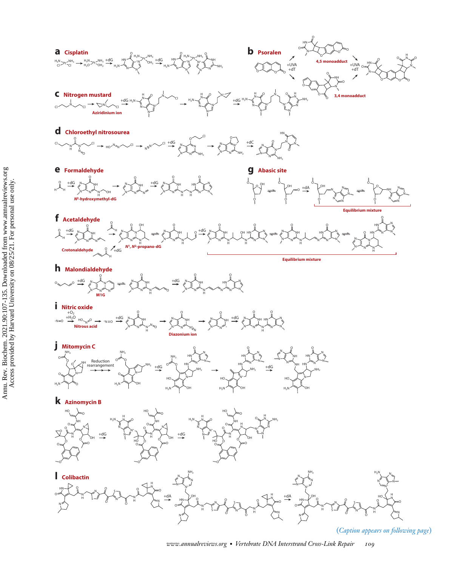

(*Caption appears on following page*)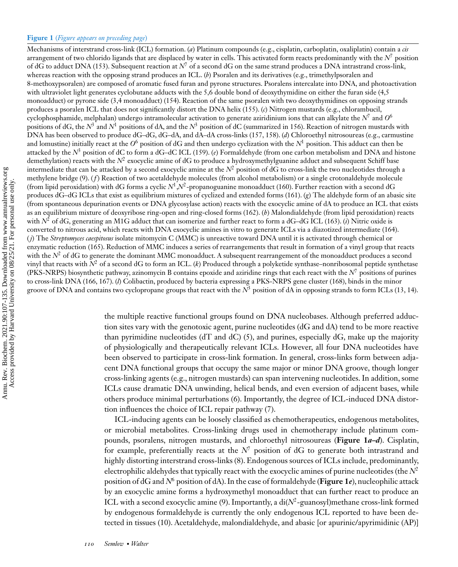Mechanisms of interstrand cross-link (ICL) formation. (*a*) Platinum compounds (e.g., cisplatin, carboplatin, oxaliplatin) contain a *cis* arrangement of two chlorido ligands that are displaced by water in cells. This activated form reacts predominantly with the  $N^7$  position of dG to adduct DNA [\(153\)](#page-27-0). Subsequent reaction at *N*<sup>7</sup> of a second dG on the same strand produces a DNA intrastrand cross-link, whereas reaction with the opposing strand produces an ICL. (*b*) Psoralen and its derivatives (e.g., trimethylpsoralen and 8-methoxypsoralen) are composed of aromatic fused furan and pyrone structures. Psoralens intercalate into DNA, and photoactivation with ultraviolet light generates cyclobutane adducts with the 5,6 double bond of deoxythymidine on either the furan side (4,5 monoadduct) or pyrone side (3,4 monoadduct) [\(154\)](#page-27-0). Reaction of the same psoralen with two deoxythymidines on opposing strands produces a psoralen ICL that does not significantly distort the DNA helix [\(155\)](#page-27-0). (*c*) Nitrogen mustards (e.g., chlorambucil, cyclophosphamide, melphalan) undergo intramolecular activation to generate aziridinium ions that can alkylate the *N*<sup>7</sup> and *O*<sup>6</sup> positions of dG, the *N*<sup>3</sup> and *N*<sup>1</sup> positions of dA, and the *N*<sup>3</sup> position of dC (summarized in [156\)](#page-27-0). Reaction of nitrogen mustards with DNA has been observed to produce dG–dG, dG–dA, and dA–dA cross-links [\(157, 158\)](#page-27-0). (*d*) Chloroethyl nitrosoureas (e.g., carmustine and lomustine) initially react at the  $O^6$  position of dG and then undergo cyclization with the  $N^1$  position. This adduct can then be attacked by the *N*<sup>3</sup> position of dC to form a dG–dC ICL [\(159\)](#page-27-0). (*e*) Formaldehyde (from one carbon metabolism and DNA and histone demethylation) reacts with the  $N^2$  exocyclic amine of dG to produce a hydroxymethylguanine adduct and subsequent Schiff base intermediate that can be attacked by a second exocyclic amine at the  $N^2$  position of  $dG$  to cross-link the two nucleotides through a methylene bridge [\(9\)](#page-21-0). (f) Reaction of two acetaldehyde molecules (from alcohol metabolism) or a single crotonaldehyde molecule (from lipid peroxidation) with dG forms a cyclic *N*1,*N*2-propanoguanine monoadduct [\(160\)](#page-27-0). Further reaction with a second dG produces dG–dG ICLs that exist as equilibrium mixtures of cyclized and extended forms [\(161\)](#page-27-0). (*g*) The aldehyde form of an abasic site (from spontaneous depurination events or DNA glycosylase action) reacts with the exocyclic amine of dA to produce an ICL that exists as an equilibrium mixture of deoxyribose ring-open and ring-closed forms [\(162\)](#page-28-0). (*h*) Malondialdehyde (from lipid peroxidation) reacts with  $N^2$  of dG, generating an M1G adduct that can isomerize and further react to form a dG–dG ICL [\(163\)](#page-28-0). *(i)* Nitric oxide is converted to nitrous acid, which reacts with DNA exocyclic amines in vitro to generate ICLs via a diazotized intermediate [\(164\)](#page-28-0). ( *j*) The *Streptomyces caespitosus* isolate mitomycin C (MMC) is unreactive toward DNA until it is activated through chemical or enzymatic reduction [\(165\)](#page-28-0). Reduction of MMC induces a series of rearrangements that result in formation of a vinyl group that reacts with the  $N^2$  of dG to generate the dominant MMC monoadduct. A subsequent rearrangement of the monoadduct produces a second vinyl that reacts with *N*<sup>2</sup> of a second dG to form an ICL. (*k*) Produced through a polyketide synthase–nonribosomal peptide synthetase (PKS-NRPS) biosynthetic pathway, azinomycin B contains epoxide and aziridine rings that each react with the  $N^7$  positions of purines to cross-link DNA [\(166, 167\)](#page-28-0). (*l*) Colibactin, produced by bacteria expressing a PKS-NRPS gene cluster [\(168\)](#page-28-0), binds in the minor groove of DNA and contains two cyclopropane groups that react with the  $N^3$  position of dA in opposing strands to form ICLs [\(13, 14\)](#page-21-0).

> the multiple reactive functional groups found on DNA nucleobases. Although preferred adduction sites vary with the genotoxic agent, purine nucleotides (dG and dA) tend to be more reactive than pyrimidine nucleotides ( $dT$  and  $dC$ ) [\(5\)](#page-21-0), and purines, especially  $dG$ , make up the majority of physiologically and therapeutically relevant ICLs. However, all four DNA nucleotides have been observed to participate in cross-link formation. In general, cross-links form between adjacent DNA functional groups that occupy the same major or minor DNA groove, though longer cross-linking agents (e.g., nitrogen mustards) can span intervening nucleotides. In addition, some ICLs cause dramatic DNA unwinding, helical bends, and even eversion of adjacent bases, while others produce minimal perturbations [\(6\)](#page-21-0). Importantly, the degree of ICL-induced DNA distortion influences the choice of ICL repair pathway [\(7\)](#page-21-0).

> ICL-inducing agents can be loosely classified as chemotherapeutics, endogenous metabolites, or microbial metabolites. Cross-linking drugs used in chemotherapy include platinum compounds, psoralens, nitrogen mustards, and chloroethyl nitrosoureas (**Figure 1***a–d*). Cisplatin, for example, preferentially reacts at the  $N^7$  position of dG to generate both intrastrand and highly distorting interstrand cross-links [\(8\)](#page-21-0). Endogenous sources of ICLs include, predominantly, electrophilic aldehydes that typically react with the exocyclic amines of purine nucleotides (the *N*<sup>2</sup> position of dG and *N*<sup>6</sup> position of dA). In the case of formaldehyde (**Figure 1***e*), nucleophilic attack by an exocyclic amine forms a hydroxymethyl monoadduct that can further react to produce an ICL with a second exocyclic amine [\(9\)](#page-21-0). Importantly, a di(*N*2-guanosyl)methane cross-link formed by endogenous formaldehyde is currently the only endogenous ICL reported to have been detected in tissues [\(10\)](#page-21-0). Acetaldehyde, malondialdehyde, and abasic [or apurinic/apyrimidinic (AP)]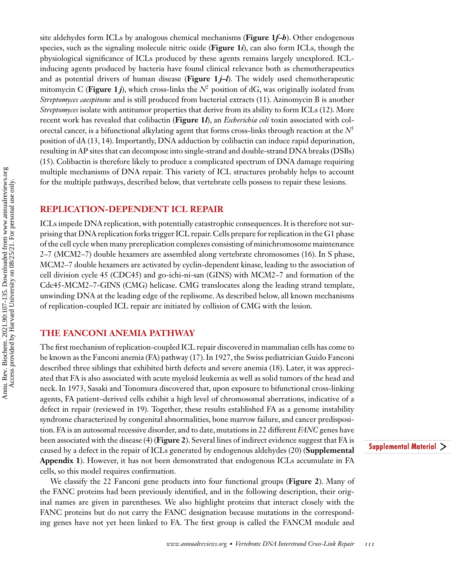Annu. Rev. Biochem. 2021.90:107-135. Downloaded from www.annualreviews.org<br>Access provided by Harvard University on 08/25/21. For personal use only. Annu. Rev. Biochem. 2021.90:107-135. Downloaded from www.annualreviews.org Access provided by Harvard University on 08/25/21. For personal use only.

site aldehydes form ICLs by analogous chemical mechanisms (**Figure 1***f–h*). Other endogenous species, such as the signaling molecule nitric oxide (**Figure 1***i*), can also form ICLs, though the physiological significance of ICLs produced by these agents remains largely unexplored. ICLinducing agents produced by bacteria have found clinical relevance both as chemotherapeutics and as potential drivers of human disease (**Figure 1** *j–l*). The widely used chemotherapeutic mitomycin C (**Figure 1***j*), which cross-links the  $N^2$  position of dG, was originally isolated from *Streptomyces caespitosus* and is still produced from bacterial extracts [\(11\)](#page-21-0). Azinomycin B is another *Streptomyces* isolate with antitumor properties that derive from its ability to form ICLs [\(12\)](#page-21-0). More recent work has revealed that colibactin (**Figure 1***l*), an *Escherichia coli* toxin associated with colorectal cancer, is a bifunctional alkylating agent that forms cross-links through reaction at the *N*<sup>3</sup> position of dA [\(13, 14\)](#page-21-0). Importantly, DNA adduction by colibactin can induce rapid depurination, resulting in AP sites that can decompose into single-strand and double-strand DNA breaks (DSBs) [\(15\)](#page-21-0). Colibactin is therefore likely to produce a complicated spectrum of DNA damage requiring multiple mechanisms of DNA repair. This variety of ICL structures probably helps to account for the multiple pathways, described below, that vertebrate cells possess to repair these lesions.

#### **REPLICATION-DEPENDENT ICL REPAIR**

ICLs impede DNA replication, with potentially catastrophic consequences. It is therefore not surprising that DNA replication forks trigger ICL repair. Cells prepare for replication in the G1 phase of the cell cycle when many prereplication complexes consisting of minichromosome maintenance 2–7 (MCM2–7) double hexamers are assembled along vertebrate chromosomes [\(16\)](#page-21-0). In S phase, MCM2–7 double hexamers are activated by cyclin-dependent kinase, leading to the association of cell division cycle 45 (CDC45) and go-ichi-ni-san (GINS) with MCM2–7 and formation of the Cdc45-MCM2–7-GINS (CMG) helicase. CMG translocates along the leading strand template, unwinding DNA at the leading edge of the replisome. As described below, all known mechanisms of replication-coupled ICL repair are initiated by collision of CMG with the lesion.

#### **THE FANCONI ANEMIA PATHWAY**

The first mechanism of replication-coupled ICL repair discovered in mammalian cells has come to be known as the Fanconi anemia (FA) pathway [\(17\)](#page-21-0). In 1927, the Swiss pediatrician Guido Fanconi described three siblings that exhibited birth defects and severe anemia [\(18\)](#page-21-0). Later, it was appreciated that FA is also associated with acute myeloid leukemia as well as solid tumors of the head and neck. In 1973, Sasaki and Tonomura discovered that, upon exposure to bifunctional cross-linking agents, FA patient–derived cells exhibit a high level of chromosomal aberrations, indicative of a defect in repair (reviewed in [19\)](#page-21-0). Together, these results established FA as a genome instability syndrome characterized by congenital abnormalities, bone marrow failure, and cancer predisposition. FA is an autosomal recessive disorder, and to date, mutations in 22 different *FANC* genes have been associated with the disease [\(4\)](#page-21-0) (**Figure 2**). Several lines of indirect evidence suggest that FA is caused by a defect in the repair of ICLs generated by endogenous aldehydes [\(20\)](#page-21-0) (**Supplemental Appendix 1**). However, it has not been demonstrated that endogenous ICLs accumulate in FA cells, so this model requires confirmation.

We classify the 22 Fanconi gene products into four functional groups (**Figure 2**). Many of the FANC proteins had been previously identified, and in the following description, their original names are given in parentheses. We also highlight proteins that interact closely with the FANC proteins but do not carry the FANC designation because mutations in the corresponding genes have not yet been linked to FA. The first group is called the FANCM module and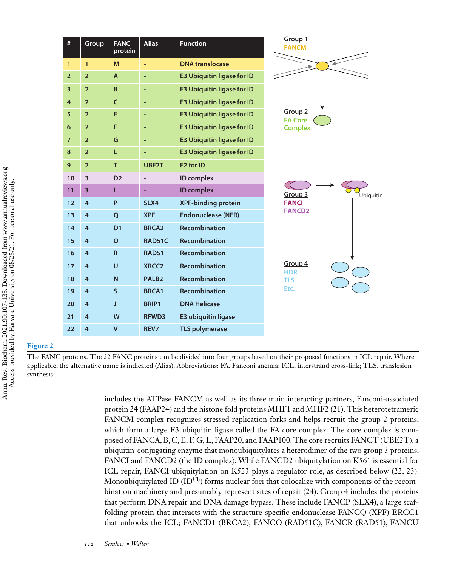| #                       | Group                   | <b>FANC</b>    | <b>Alias</b>      | <b>Function</b>                   | Group 1                              |
|-------------------------|-------------------------|----------------|-------------------|-----------------------------------|--------------------------------------|
|                         |                         | protein        |                   |                                   | <b>FANCM</b>                         |
| $\mathbf{1}$            | $\mathbf{1}$            | M              |                   | <b>DNA</b> translocase            |                                      |
| $\overline{2}$          | $\overline{2}$          | $\overline{A}$ | ٠                 | <b>E3 Ubiquitin ligase for ID</b> |                                      |
| $\overline{\mathbf{3}}$ | $\overline{2}$          | B              | ٠                 | <b>E3 Ubiquitin ligase for ID</b> |                                      |
| $\overline{4}$          | $\overline{2}$          | C              | Ξ                 | <b>E3 Ubiquitin ligase for ID</b> |                                      |
| 5                       | $\overline{2}$          | E              | ٠                 | <b>E3 Ubiquitin ligase for ID</b> | Group <sub>2</sub><br><b>FA Core</b> |
| 6                       | $\overline{2}$          | F              | ٠                 | <b>E3 Ubiquitin ligase for ID</b> | <b>Complex</b>                       |
| $\overline{7}$          | $\overline{2}$          | G              | ٠                 | <b>E3 Ubiquitin ligase for ID</b> |                                      |
| 8                       | $\overline{2}$          | L              | ٠                 | <b>E3 Ubiquitin ligase for ID</b> |                                      |
| 9                       | $\overline{2}$          | T              | UBE2T             | E <sub>2</sub> for ID             |                                      |
| 10                      | 3                       | D <sub>2</sub> |                   | ID complex                        |                                      |
| 11                      | $\overline{\mathbf{3}}$ | г              | ÷                 | <b>ID</b> complex                 | Group 3<br>Ubiquitin                 |
| 12                      | $\overline{4}$          | P              | SLX4              | <b>XPF-binding protein</b>        | <b>FANCI</b>                         |
| 13                      | $\overline{4}$          | Q              | <b>XPF</b>        | <b>Endonuclease (NER)</b>         | <b>FANCD2</b>                        |
| 14                      | $\overline{4}$          | D <sub>1</sub> | <b>BRCA2</b>      | <b>Recombination</b>              |                                      |
| 15                      | $\overline{4}$          | $\mathbf{o}$   | RAD51C            | <b>Recombination</b>              |                                      |
| 16                      | 4                       | $\mathsf{R}$   | <b>RAD51</b>      | <b>Recombination</b>              |                                      |
| 17                      | $\overline{4}$          | U              | XRCC <sub>2</sub> | <b>Recombination</b>              | Group 4<br><b>HDR</b>                |
| 18                      | $\overline{4}$          | N              | PALB <sub>2</sub> | <b>Recombination</b>              | <b>TLS</b>                           |
| 19                      | $\overline{4}$          | S              | <b>BRCA1</b>      | <b>Recombination</b>              | Etc.                                 |
| 20                      | $\overline{4}$          | J              | BRIP1             | <b>DNA Helicase</b>               |                                      |
| 21                      | $\overline{4}$          | W              | RFWD3             | <b>E3 ubiquitin ligase</b>        |                                      |
| 22                      | $\overline{4}$          | $\mathsf{V}$   | REV7              | <b>TLS polymerase</b>             |                                      |

#### **Figure 2**

The FANC proteins. The 22 FANC proteins can be divided into four groups based on their proposed functions in ICL repair. Where applicable, the alternative name is indicated (Alias). Abbreviations: FA, Fanconi anemia; ICL, interstrand cross-link; TLS, translesion synthesis.

includes the ATPase FANCM as well as its three main interacting partners, Fanconi-associated protein 24 (FAAP24) and the histone fold proteins MHF1 and MHF2 [\(21\)](#page-21-0). This heterotetrameric FANCM complex recognizes stressed replication forks and helps recruit the group 2 proteins, which form a large E3 ubiquitin ligase called the FA core complex. The core complex is composed of FANCA, B, C, E, F, G, L, FAAP20, and FAAP100. The core recruits FANCT (UBE2T), a ubiquitin-conjugating enzyme that monoubiquitylates a heterodimer of the two group 3 proteins, FANCI and FANCD2 (the ID complex). While FANCD2 ubiquitylation on K561 is essential for ICL repair, FANCI ubiquitylation on K523 plays a regulator role, as described below [\(22, 23\)](#page-22-0). Monoubiquity atted ID  $(\text{ID}^{\text{Ub}})$  forms nuclear foci that colocalize with components of the recombination machinery and presumably represent sites of repair [\(24\)](#page-22-0). Group 4 includes the proteins that perform DNA repair and DNA damage bypass. These include FANCP (SLX4), a large scaffolding protein that interacts with the structure-specific endonuclease FANCQ (XPF)-ERCC1 that unhooks the ICL; FANCD1 (BRCA2), FANCO (RAD51C), FANCR (RAD51), FANCU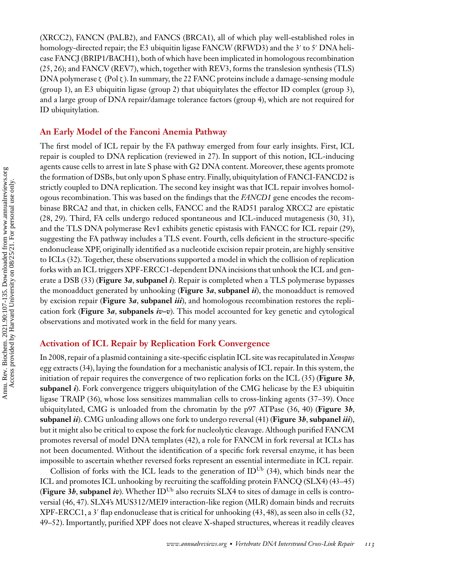(XRCC2), FANCN (PALB2), and FANCS (BRCA1), all of which play well-established roles in homology-directed repair; the E3 ubiquitin ligase FANCW (RFWD3) and the 3' to 5' DNA helicase FANCJ (BRIP1/BACH1), both of which have been implicated in homologous recombination [\(25, 26\)](#page-22-0); and FANCV (REV7), which, together with REV3, forms the translesion synthesis (TLS) DNA polymerase  $\zeta$  (Pol  $\zeta$ ). In summary, the 22 FANC proteins include a damage-sensing module (group 1), an E3 ubiquitin ligase (group 2) that ubiquitylates the effector ID complex (group 3), and a large group of DNA repair/damage tolerance factors (group 4), which are not required for ID ubiquitylation.

#### **An Early Model of the Fanconi Anemia Pathway**

The first model of ICL repair by the FA pathway emerged from four early insights. First, ICL repair is coupled to DNA replication (reviewed in [27\)](#page-22-0). In support of this notion, ICL-inducing agents cause cells to arrest in late S phase with G2 DNA content. Moreover, these agents promote the formation of DSBs, but only upon S phase entry. Finally, ubiquitylation of FANCI-FANCD2 is strictly coupled to DNA replication. The second key insight was that ICL repair involves homologous recombination. This was based on the findings that the *FANCD1* gene encodes the recombinase BRCA2 and that, in chicken cells, FANCC and the RAD51 paralog XRCC2 are epistatic [\(28, 29\)](#page-22-0). Third, FA cells undergo reduced spontaneous and ICL-induced mutagenesis [\(30, 31\)](#page-22-0), and the TLS DNA polymerase Rev1 exhibits genetic epistasis with FANCC for ICL repair [\(29\)](#page-22-0), suggesting the FA pathway includes a TLS event. Fourth, cells deficient in the structure-specific endonuclease XPF, originally identified as a nucleotide excision repair protein, are highly sensitive to ICLs [\(32\)](#page-22-0). Together, these observations supported a model in which the collision of replication forks with an ICL triggers XPF-ERCC1-dependent DNA incisions that unhook the ICL and generate a DSB [\(33\)](#page-22-0) (**Figure 3***a*, **subpanel** *i*). Repair is completed when a TLS polymerase bypasses the monoadduct generated by unhooking (**Figure 3***a*, **subpanel** *ii*), the monoadduct is removed by excision repair (**Figure 3***a*, **subpanel** *iii*), and homologous recombination restores the replication fork (**Figure 3***a*, **subpanels** *iv–v*). This model accounted for key genetic and cytological observations and motivated work in the field for many years.

#### **Activation of ICL Repair by Replication Fork Convergence**

In 2008, repair of a plasmid containing a site-specific cisplatin ICL site was recapitulated in *Xenopus* egg extracts [\(34\)](#page-22-0), laying the foundation for a mechanistic analysis of ICL repair. In this system, the initiation of repair requires the convergence of two replication forks on the ICL [\(35\)](#page-22-0) (**Figure 3***b*, **subpanel** *i*). Fork convergence triggers ubiquitylation of the CMG helicase by the E3 ubiquitin ligase TRAIP [\(36\)](#page-22-0), whose loss sensitizes mammalian cells to cross-linking agents [\(37–39\)](#page-22-0). Once ubiquitylated, CMG is unloaded from the chromatin by the p97 ATPase [\(36, 40\)](#page-22-0) (**Figure 3***b*, **subpanel** *ii*). CMG unloading allows one fork to undergo reversal [\(41\)](#page-22-0) (**Figure 3***b*, **subpanel** *iii*), but it might also be critical to expose the fork for nucleolytic cleavage. Although purified FANCM promotes reversal of model DNA templates [\(42\)](#page-22-0), a role for FANCM in fork reversal at ICLs has not been documented. Without the identification of a specific fork reversal enzyme, it has been impossible to ascertain whether reversed forks represent an essential intermediate in ICL repair.

Collision of forks with the ICL leads to the generation of  $ID^{Ub}$  [\(34\)](#page-22-0), which binds near the ICL and promotes ICL unhooking by recruiting the scaffolding protein FANCQ (SLX4) [\(43–45\)](#page-22-0) (**Figure 3***b*, **subpanel** *iv*). Whether IDUb also recruits SLX4 to sites of damage in cells is controversial [\(46, 47\)](#page-23-0). SLX4's MUS312/MEI9 interaction-like region (MLR) domain binds and recruits XPF-ERCC1, a 3- flap endonuclease that is critical for unhooking [\(43,](#page-22-0) [48\)](#page-23-0), as seen also in cells [\(32,](#page-22-0) [49–52\)](#page-23-0). Importantly, purified XPF does not cleave X-shaped structures, whereas it readily cleaves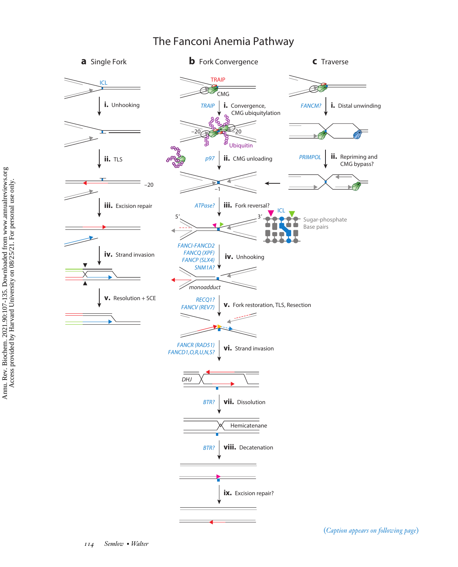

## The Fanconi Anemia Pathway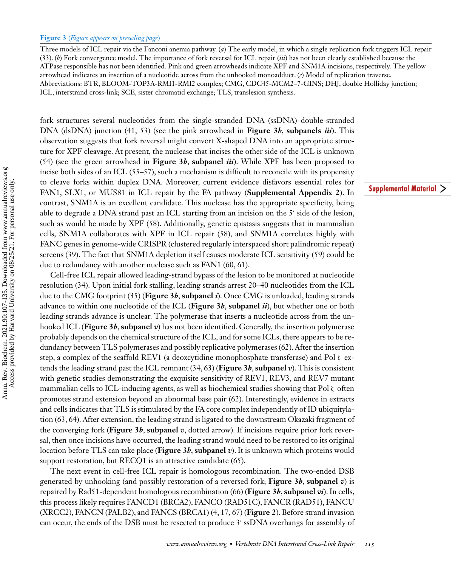Three models of ICL repair via the Fanconi anemia pathway. (*a*) The early model, in which a single replication fork triggers ICL repair [\(33\)](#page-22-0). (*b*) Fork convergence model. The importance of fork reversal for ICL repair (*iii*) has not been clearly established because the ATPase responsible has not been identified. Pink and green arrowheads indicate XPF and SNM1A incisions, respectively. The yellow arrowhead indicates an insertion of a nucleotide across from the unhooked monoadduct. (*c*) Model of replication traverse. Abbreviations: BTR, BLOOM-TOP3A-RMI1-RMI2 complex; CMG, CDC45-MCM2–7-GINS; DHJ, double Holliday junction; ICL, interstrand cross-link; SCE, sister chromatid exchange; TLS, translesion synthesis.

fork structures several nucleotides from the single-stranded DNA (ssDNA)–double-stranded DNA (dsDNA) junction [\(41,](#page-22-0) [53\)](#page-23-0) (see the pink arrowhead in **Figure 3***b*, **subpanels** *iii*). This observation suggests that fork reversal might convert X-shaped DNA into an appropriate structure for XPF cleavage. At present, the nuclease that incises the other side of the ICL is unknown [\(54\)](#page-23-0) (see the green arrowhead in **Figure 3***b*, **subpanel** *iii*). While XPF has been proposed to incise both sides of an ICL [\(55–57\)](#page-23-0), such a mechanism is difficult to reconcile with its propensity to cleave forks within duplex DNA. Moreover, current evidence disfavors essential roles for FAN1, SLX1, or MUS81 in ICL repair by the FA pathway (**Supplemental Appendix 2**). In contrast, SNM1A is an excellent candidate. This nuclease has the appropriate specificity, being able to degrade a DNA strand past an ICL starting from an incision on the 5 $^{\prime}$  side of the lesion, such as would be made by XPF [\(58\)](#page-23-0). Additionally, genetic epistasis suggests that in mammalian cells, SNM1A collaborates with XPF in ICL repair [\(58\)](#page-23-0), and SNM1A correlates highly with FANC genes in genome-wide CRISPR (clustered regularly interspaced short palindromic repeat) screens [\(39\)](#page-22-0). The fact that SNM1A depletion itself causes moderate ICL sensitivity [\(59\)](#page-23-0) could be due to redundancy with another nuclease such as FAN1 [\(60, 61\)](#page-23-0).

Cell-free ICL repair allowed leading-strand bypass of the lesion to be monitored at nucleotide resolution [\(34\)](#page-22-0). Upon initial fork stalling, leading strands arrest 20–40 nucleotides from the ICL due to the CMG footprint [\(35\)](#page-22-0) (**Figure 3***b*, **subpanel** *i*). Once CMG is unloaded, leading strands advance to within one nucleotide of the ICL (**Figure 3***b*, **subpanel** *ii*), but whether one or both leading strands advance is unclear. The polymerase that inserts a nucleotide across from the unhooked ICL (**Figure 3***b*, **subpanel** *v*) has not been identified. Generally, the insertion polymerase probably depends on the chemical structure of the ICL, and for some ICLs, there appears to be redundancy between TLS polymerases and possibly replicative polymerases [\(62\)](#page-23-0). After the insertion step, a complex of the scaffold REV1 (a deoxcytidine monophosphate transferase) and Pol  $\zeta$  extends the leading strand past the ICL remnant [\(34,](#page-22-0) [63\)](#page-23-0) (**Figure 3***b*, **subpanel** *v*). This is consistent with genetic studies demonstrating the exquisite sensitivity of REV1, REV3, and REV7 mutant mammalian cells to ICL-inducing agents, as well as biochemical studies showing that Pol ζ often promotes strand extension beyond an abnormal base pair [\(62\)](#page-23-0). Interestingly, evidence in extracts and cells indicates that TLS is stimulated by the FA core complex independently of ID ubiquitylation [\(63, 64\)](#page-23-0). After extension, the leading strand is ligated to the downstream Okazaki fragment of the converging fork (**Figure 3***b*, **subpanel** *v*, dotted arrow). If incisions require prior fork reversal, then once incisions have occurred, the leading strand would need to be restored to its original location before TLS can take place (**Figure 3***b*, **subpanel** *v*). It is unknown which proteins would support restoration, but RECQ1 is an attractive candidate [\(65\)](#page-23-0).

The next event in cell-free ICL repair is homologous recombination. The two-ended DSB generated by unhooking (and possibly restoration of a reversed fork; **Figure 3***b*, **subpanel** *v*) is repaired by Rad51-dependent homologous recombination [\(66\)](#page-23-0) (**Figure 3***b*, **subpanel** *vi*). In cells, this process likely requires FANCD1 (BRCA2), FANCO (RAD51C), FANCR (RAD51), FANCU (XRCC2), FANCN (PALB2), and FANCS (BRCA1) [\(4, 17,](#page-21-0) [67\)](#page-23-0) (**Figure 2**). Before strand invasion can occur, the ends of the DSB must be resected to produce 3' ssDNA overhangs for assembly of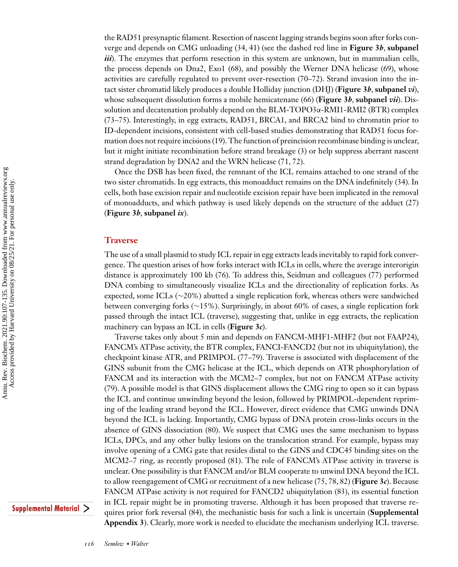the RAD51 presynaptic filament. Resection of nascent lagging strands begins soon after forks converge and depends on CMG unloading [\(34, 41\)](#page-22-0) (see the dashed red line in **Figure 3***b*, **subpanel** *iii*). The enzymes that perform resection in this system are unknown, but in mammalian cells, the process depends on Dna2, Exo1 [\(68\)](#page-24-0), and possibly the Werner DNA helicase [\(69\)](#page-24-0), whose activities are carefully regulated to prevent over-resection [\(70–72\)](#page-24-0). Strand invasion into the intact sister chromatid likely produces a double Holliday junction (DHJ) (**Figure 3***b*, **subpanel** *vi*), whose subsequent dissolution forms a mobile hemicatenane [\(66\)](#page-23-0) (**Figure 3***b*, **subpanel** *vii*). Dissolution and decatenation probably depend on the BLM-TOPO3α-RMI1-RMI2 (BTR) complex [\(73–75\)](#page-24-0). Interestingly, in egg extracts, RAD51, BRCA1, and BRCA2 bind to chromatin prior to ID-dependent incisions, consistent with cell-based studies demonstrating that RAD51 focus formation does not require incisions [\(19\)](#page-21-0). The function of preincision recombinase binding is unclear, but it might initiate recombination before strand breakage [\(3\)](#page-21-0) or help suppress aberrant nascent strand degradation by DNA2 and the WRN helicase [\(71, 72\)](#page-24-0).

Once the DSB has been fixed, the remnant of the ICL remains attached to one strand of the two sister chromatids. In egg extracts, this monoadduct remains on the DNA indefinitely [\(34\)](#page-22-0). In cells, both base excision repair and nucleotide excision repair have been implicated in the removal of monoadducts, and which pathway is used likely depends on the structure of the adduct [\(27\)](#page-22-0) (**Figure 3***b*, **subpanel** *ix*).

#### **Traverse**

The use of a small plasmid to study ICL repair in egg extracts leads inevitably to rapid fork convergence. The question arises of how forks interact with ICLs in cells, where the average interorigin distance is approximately 100 kb [\(76\)](#page-24-0). To address this, Seidman and colleagues [\(77\)](#page-24-0) performed DNA combing to simultaneously visualize ICLs and the directionality of replication forks. As expected, some ICLs (∼20%) abutted a single replication fork, whereas others were sandwiched between converging forks (∼15%). Surprisingly, in about 60% of cases, a single replication fork passed through the intact ICL (traverse), suggesting that, unlike in egg extracts, the replication machinery can bypass an ICL in cells (**Figure 3***c*).

Traverse takes only about 5 min and depends on FANCM-MHF1-MHF2 (but not FAAP24), FANCM's ATPase activity, the BTR complex, FANCI-FANCD2 (but not its ubiquitylation), the checkpoint kinase ATR, and PRIMPOL [\(77–79\)](#page-24-0). Traverse is associated with displacement of the GINS subunit from the CMG helicase at the ICL, which depends on ATR phosphorylation of FANCM and its interaction with the MCM2–7 complex, but not on FANCM ATPase activity [\(79\)](#page-24-0). A possible model is that GINS displacement allows the CMG ring to open so it can bypass the ICL and continue unwinding beyond the lesion, followed by PRIMPOL-dependent repriming of the leading strand beyond the ICL. However, direct evidence that CMG unwinds DNA beyond the ICL is lacking. Importantly, CMG bypass of DNA protein cross-links occurs in the absence of GINS dissociation [\(80\)](#page-24-0). We suspect that CMG uses the same mechanism to bypass ICLs, DPCs, and any other bulky lesions on the translocation strand. For example, bypass may involve opening of a CMG gate that resides distal to the GINS and CDC45 binding sites on the MCM2–7 ring, as recently proposed [\(81\)](#page-24-0). The role of FANCM's ATPase activity in traverse is unclear. One possibility is that FANCM and/or BLM cooperate to unwind DNA beyond the ICL to allow reengagement of CMG or recruitment of a new helicase [\(75, 78, 82\)](#page-24-0) (**Figure 3***c*). Because FANCM ATPase activity is not required for FANCD2 ubiquitylation [\(83\)](#page-24-0), its essential function in ICL repair might be in promoting traverse. Although it has been proposed that traverse requires prior fork reversal [\(84\)](#page-24-0), the mechanistic basis for such a link is uncertain (**Supplemental Appendix 3**). Clearly, more work is needed to elucidate the mechanism underlying ICL traverse.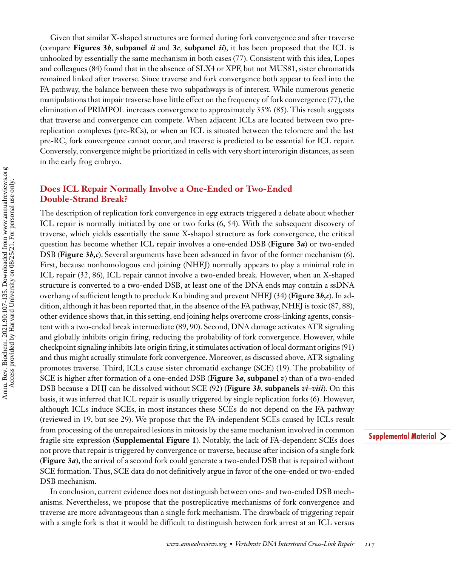Given that similar X-shaped structures are formed during fork convergence and after traverse (compare **Figures 3***b*, **subpanel** *ii* and **3***c***, <b>subpanel** *ii*), it has been proposed that the ICL is unhooked by essentially the same mechanism in both cases [\(77\)](#page-24-0). Consistent with this idea, Lopes and colleagues [\(84\)](#page-24-0) found that in the absence of SLX4 or XPF, but not MUS81, sister chromatids remained linked after traverse. Since traverse and fork convergence both appear to feed into the FA pathway, the balance between these two subpathways is of interest. While numerous genetic manipulations that impair traverse have little effect on the frequency of fork convergence [\(77\)](#page-24-0), the elimination of PRIMPOL increases convergence to approximately 35% [\(85\)](#page-24-0). This result suggests that traverse and convergence can compete. When adjacent ICLs are located between two prereplication complexes (pre-RCs), or when an ICL is situated between the telomere and the last pre-RC, fork convergence cannot occur, and traverse is predicted to be essential for ICL repair. Conversely, convergence might be prioritized in cells with very short interorigin distances, as seen in the early frog embryo.

#### **Does ICL Repair Normally Involve a One-Ended or Two-Ended Double-Strand Break?**

The description of replication fork convergence in egg extracts triggered a debate about whether ICL repair is normally initiated by one or two forks [\(6,](#page-21-0) [54\)](#page-23-0). With the subsequent discovery of traverse, which yields essentially the same X-shaped structure as fork convergence, the critical question has become whether ICL repair involves a one-ended DSB (**Figure 3***a*) or two-ended DSB (**Figure 3***b,c*). Several arguments have been advanced in favor of the former mechanism [\(6\)](#page-21-0). First, because nonhomologous end joining (NHEJ) normally appears to play a minimal role in ICL repair [\(32,](#page-22-0) [86\)](#page-24-0), ICL repair cannot involve a two-ended break. However, when an X-shaped structure is converted to a two-ended DSB, at least one of the DNA ends may contain a ssDNA overhang of sufficient length to preclude Ku binding and prevent NHEJ [\(34\)](#page-22-0) (**Figure 3***b,c*). In addition, although it has been reported that, in the absence of the FA pathway, NHEJ is toxic [\(87, 88\)](#page-24-0), other evidence shows that, in this setting, end joining helps overcome cross-linking agents, consistent with a two-ended break intermediate [\(89, 90\)](#page-24-0). Second, DNA damage activates ATR signaling and globally inhibits origin firing, reducing the probability of fork convergence. However, while checkpoint signaling inhibits late origin firing, it stimulates activation of local dormant origins [\(91\)](#page-24-0) and thus might actually stimulate fork convergence. Moreover, as discussed above, ATR signaling promotes traverse. Third, ICLs cause sister chromatid exchange (SCE) [\(19\)](#page-21-0). The probability of SCE is higher after formation of a one-ended DSB (**Figure 3***a*, **subpanel** *v*) than of a two-ended DSB because a DHJ can be dissolved without SCE [\(92\)](#page-25-0) (**Figure 3***b*, **subpanels** *vi–viii*). On this basis, it was inferred that ICL repair is usually triggered by single replication forks [\(6\)](#page-21-0). However, although ICLs induce SCEs, in most instances these SCEs do not depend on the FA pathway (reviewed in [19,](#page-21-0) but see [29\)](#page-22-0). We propose that the FA-independent SCEs caused by ICLs result from processing of the unrepaired lesions in mitosis by the same mechanism involved in common fragile site expression (**Supplemental Figure 1**). Notably, the lack of FA-dependent SCEs does not prove that repair is triggered by convergence or traverse, because after incision of a single fork (**Figure 3***a*), the arrival of a second fork could generate a two-ended DSB that is repaired without SCE formation. Thus, SCE data do not definitively argue in favor of the one-ended or two-ended DSB mechanism.

In conclusion, current evidence does not distinguish between one- and two-ended DSB mechanisms. Nevertheless, we propose that the postreplicative mechanisms of fork convergence and traverse are more advantageous than a single fork mechanism. The drawback of triggering repair with a single fork is that it would be difficult to distinguish between fork arrest at an ICL versus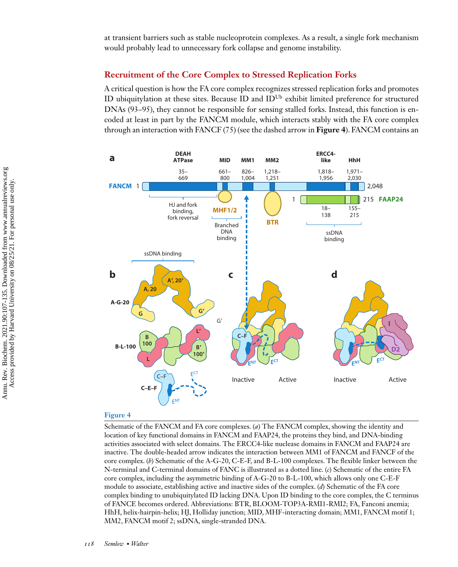at transient barriers such as stable nucleoprotein complexes. As a result, a single fork mechanism would probably lead to unnecessary fork collapse and genome instability.

#### **Recruitment of the Core Complex to Stressed Replication Forks**

A critical question is how the FA core complex recognizes stressed replication forks and promotes ID ubiquitylation at these sites. Because ID and  $ID^{Ub}$  exhibit limited preference for structured DNAs [\(93–95\)](#page-25-0), they cannot be responsible for sensing stalled forks. Instead, this function is encoded at least in part by the FANCM module, which interacts stably with the FA core complex through an interaction with FANCF [\(75\)](#page-24-0) (see the dashed arrow in **Figure 4**). FANCM contains an



#### **Figure 4**

Schematic of the FANCM and FA core complexes. (*a*) The FANCM complex, showing the identity and location of key functional domains in FANCM and FAAP24, the proteins they bind, and DNA-binding activities associated with select domains. The ERCC4-like nuclease domains in FANCM and FAAP24 are inactive. The double-headed arrow indicates the interaction between MM1 of FANCM and FANCF of the core complex. (*b*) Schematic of the A-G-20, C-E-F, and B-L-100 complexes. The flexible linker between the N-terminal and C-terminal domains of FANC is illustrated as a dotted line. (*c*) Schematic of the entire FA core complex, including the asymmetric binding of A-G-20 to B-L-100, which allows only one C-E-F module to associate, establishing active and inactive sides of the complex. (*d*) Schematic of the FA core complex binding to unubiquitylated ID lacking DNA. Upon ID binding to the core complex, the C terminus of FANCE becomes ordered. Abbreviations: BTR, BLOOM-TOP3A-RMI1-RMI2; FA, Fanconi anemia; HhH, helix-hairpin-helix; HJ, Holliday junction; MID, MHF-interacting domain; MM1, FANCM motif 1; MM2, FANCM motif 2; ssDNA, single-stranded DNA.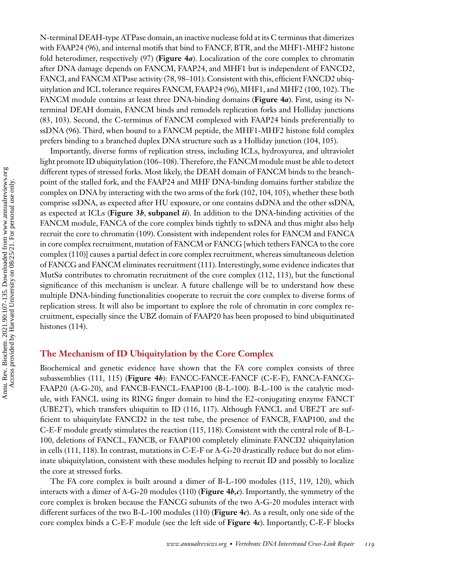N-terminal DEAH-type ATPase domain, an inactive nuclease fold at its C terminus that dimerizes with FAAP24 [\(96\)](#page-25-0), and internal motifs that bind to FANCF, BTR, and the MHF1-MHF2 histone fold heterodimer, respectively [\(97\)](#page-25-0) (**Figure 4***a*). Localization of the core complex to chromatin after DNA damage depends on FANCM, FAAP24, and MHF1 but is independent of FANCD2, FANCI, and FANCM ATPase activity [\(78,](#page-24-0) [98–101\)](#page-25-0). Consistent with this, efficient FANCD2 ubiquitylation and ICL tolerance requires FANCM, FAAP24 [\(96\)](#page-25-0), MHF1, and MHF2 [\(100, 102\)](#page-25-0). The FANCM module contains at least three DNA-binding domains (**Figure 4***a*). First, using its Nterminal DEAH domain, FANCM binds and remodels replication forks and Holliday junctions [\(83,](#page-24-0) [103\)](#page-25-0). Second, the C-terminus of FANCM complexed with FAAP24 binds preferentially to ssDNA [\(96\)](#page-25-0). Third, when bound to a FANCM peptide, the MHF1-MHF2 histone fold complex prefers binding to a branched duplex DNA structure such as a Holliday junction [\(104, 105\)](#page-25-0).

Importantly, diverse forms of replication stress, including ICLs, hydroxyurea, and ultraviolet light promote ID ubiquitylation [\(106–108\)](#page-25-0). Therefore, the FANCM module must be able to detect different types of stressed forks. Most likely, the DEAH domain of FANCM binds to the branchpoint of the stalled fork, and the FAAP24 and MHF DNA-binding domains further stabilize the complex on DNA by interacting with the two arms of the fork [\(102, 104, 105\)](#page-25-0), whether these both comprise ssDNA, as expected after HU exposure, or one contains dsDNA and the other ssDNA, as expected at ICLs (**Figure 3***b*, **subpanel** *ii*). In addition to the DNA-binding activities of the FANCM module, FANCA of the core complex binds tightly to ssDNA and thus might also help recruit the core to chromatin [\(109\)](#page-25-0). Consistent with independent roles for FANCM and FANCA in core complex recruitment, mutation of FANCM or FANCG [which tethers FANCA to the core complex [\(110\)](#page-25-0)] causes a partial defect in core complex recruitment, whereas simultaneous deletion of FANCG and FANCM eliminates recruitment [\(111\)](#page-25-0). Interestingly, some evidence indicates that MutSα contributes to chromatin recruitment of the core complex [\(112, 113\)](#page-25-0), but the functional significance of this mechanism is unclear. A future challenge will be to understand how these multiple DNA-binding functionalities cooperate to recruit the core complex to diverse forms of replication stress. It will also be important to explore the role of chromatin in core complex recruitment, especially since the UBZ domain of FAAP20 has been proposed to bind ubiquitinated histones [\(114\)](#page-25-0).

#### **The Mechanism of ID Ubiquitylation by the Core Complex**

Biochemical and genetic evidence have shown that the FA core complex consists of three subassemblies [\(111, 115\)](#page-25-0) (**Figure 4***b*): FANCC-FANCE-FANCF (C-E-F), FANCA-FANCG-FAAP20 (A-G-20), and FANCB-FANCL-FAAP100 (B-L-100). B-L-100 is the catalytic module, with FANCL using its RING finger domain to bind the E2-conjugating enzyme FANCT (UBE2T), which transfers ubiquitin to ID [\(116, 117\)](#page-26-0). Although FANCL and UBE2T are sufficient to ubiquitylate FANCD2 in the test tube, the presence of FANCB, FAAP100, and the C-E-F module greatly stimulates the reaction [\(115,](#page-25-0) [118\)](#page-26-0). Consistent with the central role of B-L-100, deletions of FANCL, FANCB, or FAAP100 completely eliminate FANCD2 ubiquitylation in cells [\(111,](#page-25-0) [118\)](#page-26-0). In contrast, mutations in C-E-F or A-G-20 drastically reduce but do not eliminate ubiquitylation, consistent with these modules helping to recruit ID and possibly to localize the core at stressed forks.

The FA core complex is built around a dimer of B-L-100 modules [\(115,](#page-25-0) [119, 120\)](#page-26-0), which interacts with a dimer of A-G-20 modules [\(110\)](#page-25-0) (**Figure 4***b,c*). Importantly, the symmetry of the core complex is broken because the FANCG subunits of the two A-G-20 modules interact with different surfaces of the two B-L-100 modules [\(110\)](#page-25-0) (**Figure 4***c*). As a result, only one side of the core complex binds a C-E-F module (see the left side of **Figure 4***c*). Importantly, C-E-F blocks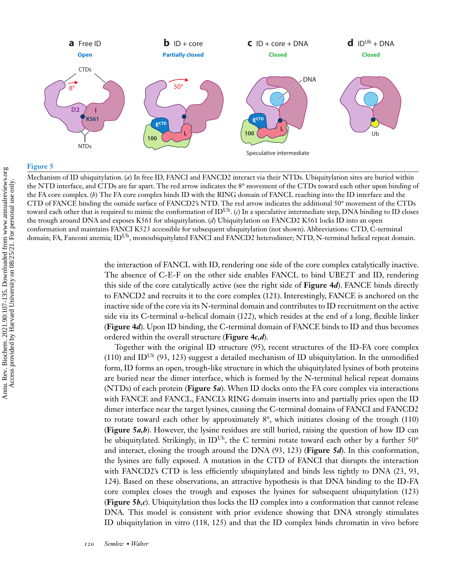

#### **Figure 5**

Mechanism of ID ubiquitylation. (*a*) In free ID, FANCI and FANCD2 interact via their NTDs. Ubiquitylation sites are buried within the NTD interface, and CTDs are far apart. The red arrow indicates the 8° movement of the CTDs toward each other upon binding of the FA core complex. (*b*) The FA core complex binds ID with the RING domain of FANCL reaching into the ID interface and the CTD of FANCE binding the outside surface of FANCD2's NTD. The red arrow indicates the additional 50° movement of the CTDs toward each other that is required to mimic the conformation of IDUb. (*c*) In a speculative intermediate step, DNA binding to ID closes the trough around DNA and exposes K561 for ubiquitylation. (*d*) Ubiquitylation on FANCD2 K561 locks ID into an open conformation and maintains FANCI K523 accessible for subsequent ubiquitylation (not shown). Abbreviations: CTD, C-terminal domain; FA, Fanconi anemia; ID<sup>Ub</sup>, monoubiquitylated FANCI and FANCD2 heterodimer; NTD, N-terminal helical repeat domain.

the interaction of FANCL with ID, rendering one side of the core complex catalytically inactive. The absence of C-E-F on the other side enables FANCL to bind UBE2T and ID, rendering this side of the core catalytically active (see the right side of **Figure 4***d*). FANCE binds directly to FANCD2 and recruits it to the core complex [\(121\)](#page-26-0). Interestingly, FANCE is anchored on the inactive side of the core via its N-terminal domain and contributes to ID recruitment on the active side via its C-terminal α-helical domain [\(122\)](#page-26-0), which resides at the end of a long, flexible linker (**Figure 4***d*). Upon ID binding, the C-terminal domain of FANCE binds to ID and thus becomes ordered within the overall structure (**Figure 4***c,d*).

Together with the original ID structure [\(95\)](#page-25-0), recent structures of the ID-FA core complex [\(110\)](#page-25-0) and ID<sup>Ub</sup> [\(93,](#page-25-0) [123\)](#page-26-0) suggest a detailed mechanism of ID ubiquitylation. In the unmodified form, ID forms an open, trough-like structure in which the ubiquitylated lysines of both proteins are buried near the dimer interface, which is formed by the N-terminal helical repeat domains (NTDs) of each protein (**Figure 5***a*). When ID docks onto the FA core complex via interactions with FANCE and FANCL, FANCL's RING domain inserts into and partially pries open the ID dimer interface near the target lysines, causing the C-terminal domains of FANCI and FANCD2 to rotate toward each other by approximately  $8^\circ$ , which initiates closing of the trough [\(110\)](#page-25-0) (**Figure 5***a,b*). However, the lysine residues are still buried, raising the question of how ID can be ubiquitylated. Strikingly, in ID<sup>Ub</sup>, the C termini rotate toward each other by a further 50° and interact, closing the trough around the DNA [\(93,](#page-25-0) [123\)](#page-26-0) (**Figure 5***d*). In this conformation, the lysines are fully exposed. A mutation in the CTD of FANCI that disrupts the interaction with FANCD2's CTD is less efficiently ubiquitylated and binds less tightly to DNA [\(23,](#page-22-0) [93,](#page-25-0) [124\)](#page-26-0). Based on these observations, an attractive hypothesis is that DNA binding to the ID-FA core complex closes the trough and exposes the lysines for subsequent ubiquitylation [\(123\)](#page-26-0) (**Figure 5***b,c*). Ubiquitylation thus locks the ID complex into a conformation that cannot release DNA. This model is consistent with prior evidence showing that DNA strongly stimulates ID ubiquitylation in vitro [\(118, 125\)](#page-26-0) and that the ID complex binds chromatin in vivo before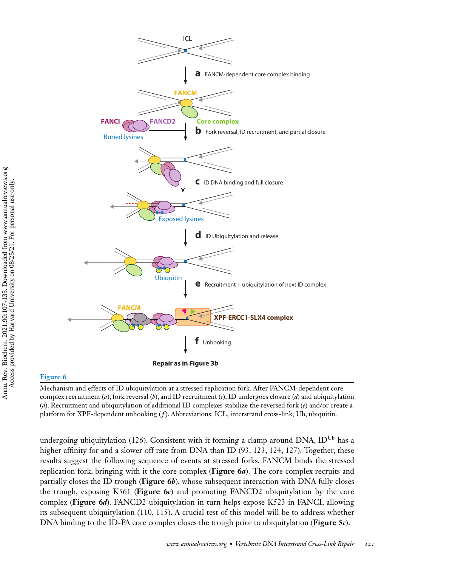

#### **Figure 6**

Mechanism and effects of ID ubiquitylation at a stressed replication fork. After FANCM-dependent core complex recruitment (*a*), fork reversal (*b*), and ID recruitment (*c*), ID undergoes closure (*d*) and ubiquitylation (*d*). Recruitment and ubiquitylation of additional ID complexes stabilize the reversed fork (*e*) and/or create a platform for XPF-dependent unhooking (*f*). Abbreviations: ICL, interstrand cross-link; Ub, ubiquitin.

undergoing ubiquitylation [\(126\)](#page-26-0). Consistent with it forming a clamp around DNA, ID<sup>Ub</sup> has a higher affinity for and a slower off rate from DNA than ID [\(93,](#page-25-0) [123, 124, 127\)](#page-26-0). Together, these results suggest the following sequence of events at stressed forks. FANCM binds the stressed replication fork, bringing with it the core complex (**Figure 6***a*). The core complex recruits and partially closes the ID trough (**Figure 6***b*), whose subsequent interaction with DNA fully closes the trough, exposing K561 (**Figure 6***c*) and promoting FANCD2 ubiquitylation by the core complex (**Figure 6***d*). FANCD2 ubiquitylation in turn helps expose K523 in FANCI, allowing its subsequent ubiquitylation [\(110, 115\)](#page-25-0). A crucial test of this model will be to address whether DNA binding to the ID-FA core complex closes the trough prior to ubiquitylation (**Figure 5***c*).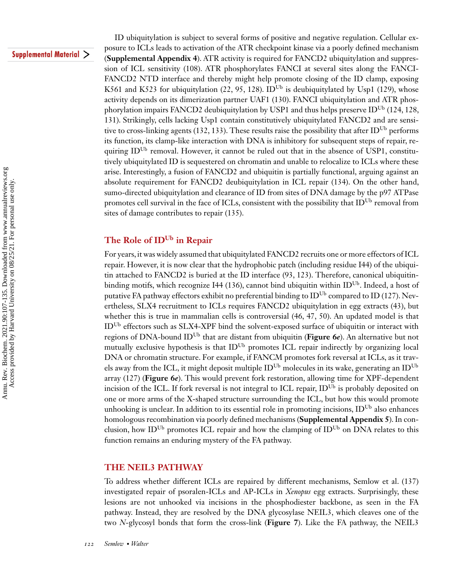#### **Supplemental Material >**

ID ubiquitylation is subject to several forms of positive and negative regulation. Cellular exposure to ICLs leads to activation of the ATR checkpoint kinase via a poorly defined mechanism (**Supplemental Appendix 4**). ATR activity is required for FANCD2 ubiquitylation and suppression of ICL sensitivity [\(108\)](#page-25-0). ATR phosphorylates FANCI at several sites along the FANCI-FANCD2 NTD interface and thereby might help promote closing of the ID clamp, exposing K561 and K523 for ubiquitylation [\(22,](#page-22-0) [95,](#page-25-0) [128\)](#page-26-0). ID<sup>Ub</sup> is deubiquitylated by Usp1 [\(129\)](#page-26-0), whose activity depends on its dimerization partner UAF1 [\(130\)](#page-26-0). FANCI ubiquitylation and ATR phos-phorylation impairs FANCD2 deubiquitylation by USP1 and thus helps preserve ID<sup>Ub</sup> [\(124, 128,](#page-26-0) [131\)](#page-26-0). Strikingly, cells lacking Usp1 contain constitutively ubiquitylated FANCD2 and are sensi-tive to cross-linking agents [\(132, 133\)](#page-26-0). These results raise the possibility that after ID<sup>Ub</sup> performs its function, its clamp-like interaction with DNA is inhibitory for subsequent steps of repair, requiring ID<sup>Ub</sup> removal. However, it cannot be ruled out that in the absence of USP1, constitutively ubiquitylated ID is sequestered on chromatin and unable to relocalize to ICLs where these arise. Interestingly, a fusion of FANCD2 and ubiquitin is partially functional, arguing against an absolute requirement for FANCD2 deubiquitylation in ICL repair [\(134\)](#page-26-0). On the other hand, sumo-directed ubiquitylation and clearance of ID from sites of DNA damage by the p97 ATPase promotes cell survival in the face of ICLs, consistent with the possibility that  $ID^{Ub}$  removal from sites of damage contributes to repair [\(135\)](#page-26-0).

### **The Role of IDUb in Repair**

For years, it was widely assumed that ubiquitylated FANCD2 recruits one or more effectors of ICL repair. However, it is now clear that the hydrophobic patch (including residue I44) of the ubiquitin attached to FANCD2 is buried at the ID interface [\(93,](#page-25-0) [123\)](#page-26-0). Therefore, canonical ubiquitin-binding motifs, which recognize I44 [\(136\)](#page-26-0), cannot bind ubiquitin within ID<sup>Ub</sup>. Indeed, a host of putative FA pathway effectors exhibit no preferential binding to ID<sup>Ub</sup> compared to ID [\(127\)](#page-26-0). Nevertheless, SLX4 recruitment to ICLs requires FANCD2 ubiquitylation in egg extracts [\(43\)](#page-22-0), but whether this is true in mammalian cells is controversial [\(46, 47, 50\)](#page-23-0). An updated model is that IDUb effectors such as SLX4-XPF bind the solvent-exposed surface of ubiquitin or interact with regions of DNA-bound IDUb that are distant from ubiquitin (**Figure 6***e*). An alternative but not mutually exclusive hypothesis is that ID<sup>Ub</sup> promotes ICL repair indirectly by organizing local DNA or chromatin structure. For example, if FANCM promotes fork reversal at ICLs, as it travels away from the ICL, it might deposit multiple  $ID^{Ub}$  molecules in its wake, generating an  $ID^{Ub}$ array [\(127\)](#page-26-0) (**Figure 6***e*). This would prevent fork restoration, allowing time for XPF-dependent incision of the ICL. If fork reversal is not integral to ICL repair,  $ID^{Ub}$  is probably deposited on one or more arms of the X-shaped structure surrounding the ICL, but how this would promote unhooking is unclear. In addition to its essential role in promoting incisions,  $ID^{Ub}$  also enhances homologous recombination via poorly defined mechanisms (**Supplemental Appendix 5**). In conclusion, how ID<sup>Ub</sup> promotes ICL repair and how the clamping of ID<sup>Ub</sup> on DNA relates to this function remains an enduring mystery of the FA pathway.

#### **THE NEIL3 PATHWAY**

To address whether different ICLs are repaired by different mechanisms, Semlow et al. [\(137\)](#page-26-0) investigated repair of psoralen-ICLs and AP-ICLs in *Xenopus* egg extracts. Surprisingly, these lesions are not unhooked via incisions in the phosphodiester backbone, as seen in the FA pathway. Instead, they are resolved by the DNA glycosylase NEIL3, which cleaves one of the two *N*-glycosyl bonds that form the cross-link (**Figure 7**). Like the FA pathway, the NEIL3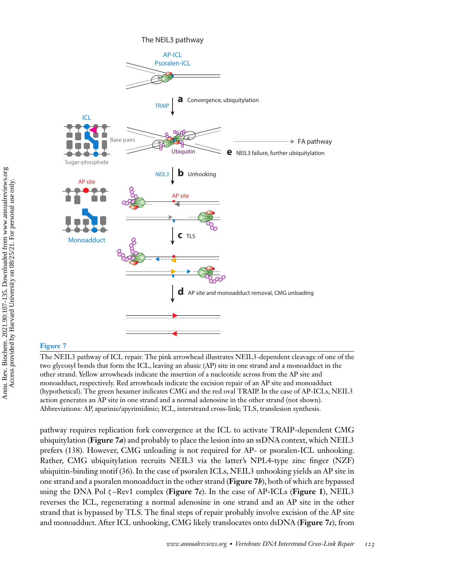

The NEIL3 pathway

#### **Figure 7**

The NEIL3 pathway of ICL repair. The pink arrowhead illustrates NEIL3-dependent cleavage of one of the two glycosyl bonds that form the ICL, leaving an abasic (AP) site in one strand and a monoadduct in the other strand. Yellow arrowheads indicate the insertion of a nucleotide across from the AP site and monoadduct, respectively. Red arrowheads indicate the excision repair of an AP site and monoadduct (hypothetical). The green hexamer indicates CMG and the red oval TRAIP. In the case of AP-ICLs, NEIL3 action generates an AP site in one strand and a normal adenosine in the other strand (not shown). Abbreviations: AP, apurinic/apyrimidinic; ICL, interstrand cross-link; TLS, translesion synthesis.

pathway requires replication fork convergence at the ICL to activate TRAIP-dependent CMG ubiquitylation (**Figure 7***a*) and probably to place the lesion into an ssDNA context, which NEIL3 prefers [\(138\)](#page-26-0). However, CMG unloading is not required for AP- or psoralen-ICL unhooking. Rather, CMG ubiquitylation recruits NEIL3 via the latter's NPL4-type zinc finger (NZF) ubiquitin-binding motif [\(36\)](#page-22-0). In the case of psoralen ICLs, NEIL3 unhooking yields an AP site in one strand and a psoralen monoadduct in the other strand (**Figure 7***b*), both of which are bypassed using the DNA Pol ζ –Rev1 complex (**Figure 7***c*). In the case of AP-ICLs (**Figure 1**), NEIL3 reverses the ICL, regenerating a normal adenosine in one strand and an AP site in the other strand that is bypassed by TLS. The final steps of repair probably involve excision of the AP site and monoadduct. After ICL unhooking, CMG likely translocates onto dsDNA (**Figure 7***c*), from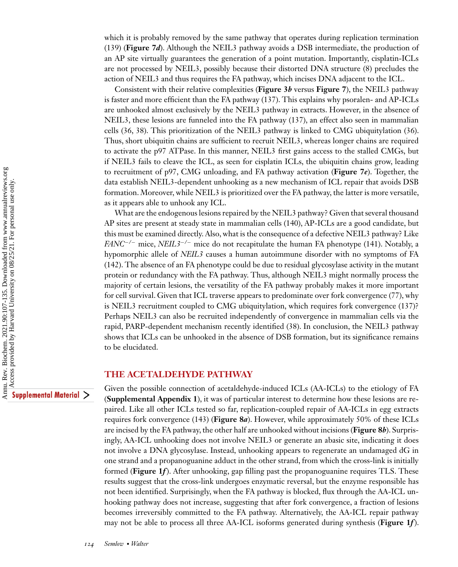which it is probably removed by the same pathway that operates during replication termination [\(139\)](#page-27-0) (**Figure 7***d*). Although the NEIL3 pathway avoids a DSB intermediate, the production of an AP site virtually guarantees the generation of a point mutation. Importantly, cisplatin-ICLs are not processed by NEIL3, possibly because their distorted DNA structure [\(8\)](#page-21-0) precludes the action of NEIL3 and thus requires the FA pathway, which incises DNA adjacent to the ICL.

Consistent with their relative complexities (**Figure 3***b* versus **Figure 7**), the NEIL3 pathway is faster and more efficient than the FA pathway [\(137\)](#page-26-0). This explains why psoralen- and AP-ICLs are unhooked almost exclusively by the NEIL3 pathway in extracts. However, in the absence of NEIL3, these lesions are funneled into the FA pathway [\(137\)](#page-26-0), an effect also seen in mammalian cells [\(36, 38\)](#page-22-0). This prioritization of the NEIL3 pathway is linked to CMG ubiquitylation [\(36\)](#page-22-0). Thus, short ubiquitin chains are sufficient to recruit NEIL3, whereas longer chains are required to activate the p97 ATPase. In this manner, NEIL3 first gains access to the stalled CMGs, but if NEIL3 fails to cleave the ICL, as seen for cisplatin ICLs, the ubiquitin chains grow, leading to recruitment of p97, CMG unloading, and FA pathway activation (**Figure 7***e*). Together, the data establish NEIL3-dependent unhooking as a new mechanism of ICL repair that avoids DSB formation. Moreover, while NEIL3 is prioritized over the FA pathway, the latter is more versatile, as it appears able to unhook any ICL.

What are the endogenous lesions repaired by the NEIL3 pathway? Given that several thousand AP sites are present at steady state in mammalian cells [\(140\)](#page-27-0), AP-ICLs are a good candidate, but this must be examined directly. Also, what is the consequence of a defective NEIL3 pathway? Like *FANC*−*/*<sup>−</sup> mice, *NEIL3*−*/*<sup>−</sup> mice do not recapitulate the human FA phenotype [\(141\)](#page-27-0). Notably, a hypomorphic allele of *NEIL3* causes a human autoimmune disorder with no symptoms of FA [\(142\)](#page-27-0). The absence of an FA phenotype could be due to residual glycosylase activity in the mutant protein or redundancy with the FA pathway. Thus, although NEIL3 might normally process the majority of certain lesions, the versatility of the FA pathway probably makes it more important for cell survival. Given that ICL traverse appears to predominate over fork convergence [\(77\)](#page-24-0), why is NEIL3 recruitment coupled to CMG ubiquitylation, which requires fork convergence [\(137\)](#page-26-0)? Perhaps NEIL3 can also be recruited independently of convergence in mammalian cells via the rapid, PARP-dependent mechanism recently identified [\(38\)](#page-22-0). In conclusion, the NEIL3 pathway shows that ICLs can be unhooked in the absence of DSB formation, but its significance remains to be elucidated.

#### **THE ACETALDEHYDE PATHWAY**

Supplemental Material >

Given the possible connection of acetaldehyde-induced ICLs (AA-ICLs) to the etiology of FA (**Supplemental Appendix 1**), it was of particular interest to determine how these lesions are repaired. Like all other ICLs tested so far, replication-coupled repair of AA-ICLs in egg extracts requires fork convergence [\(143\)](#page-27-0) (**Figure 8***a*). However, while approximately 50% of these ICLs are incised by the FA pathway, the other half are unhooked without incisions (**Figure 8***b*). Surprisingly, AA-ICL unhooking does not involve NEIL3 or generate an abasic site, indicating it does not involve a DNA glycosylase. Instead, unhooking appears to regenerate an undamaged dG in one strand and a propanoguanine adduct in the other strand, from which the cross-link is initially formed (**Figure 1***f*). After unhooking, gap filling past the propanoguanine requires TLS. These results suggest that the cross-link undergoes enzymatic reversal, but the enzyme responsible has not been identified. Surprisingly, when the FA pathway is blocked, flux through the AA-ICL unhooking pathway does not increase, suggesting that after fork convergence, a fraction of lesions becomes irreversibly committed to the FA pathway. Alternatively, the AA-ICL repair pathway may not be able to process all three AA-ICL isoforms generated during synthesis (**Figure 1***f* ).

Amu. Rev. Biochem. 2021.90:107-135. Downloaded from www.annualreviews.org  $\bullet$  Access provided by Harvard University on 08/25/21. For personal use only. Ann[u](https://www.annualreviews.org/doi/suppl/10.1146/annurev-biochem-080320-112510). Rev. Biochem. 2021.90:107-135. Downloaded from www.annualreviews.org Access provided by Harvard University on 08/25/21. For personal use only.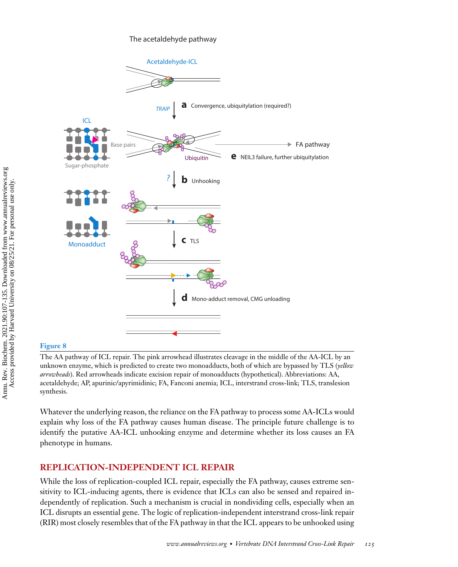#### The acetaldehyde pathway



#### **Figure 8**

The AA pathway of ICL repair. The pink arrowhead illustrates cleavage in the middle of the AA-ICL by an unknown enzyme, which is predicted to create two monoadducts, both of which are bypassed by TLS (*yellow arrowheads*). Red arrowheads indicate excision repair of monoadducts (hypothetical). Abbreviations: AA, acetaldehyde; AP, apurinic/apyrimidinic; FA, Fanconi anemia; ICL, interstrand cross-link; TLS, translesion synthesis.

Whatever the underlying reason, the reliance on the FA pathway to process some AA-ICLs would explain why loss of the FA pathway causes human disease. The principle future challenge is to identify the putative AA-ICL unhooking enzyme and determine whether its loss causes an FA phenotype in humans.

#### **REPLICATION-INDEPENDENT ICL REPAIR**

While the loss of replication-coupled ICL repair, especially the FA pathway, causes extreme sensitivity to ICL-inducing agents, there is evidence that ICLs can also be sensed and repaired independently of replication. Such a mechanism is crucial in nondividing cells, especially when an ICL disrupts an essential gene. The logic of replication-independent interstrand cross-link repair (RIR) most closely resembles that of the FA pathway in that the ICL appears to be unhooked using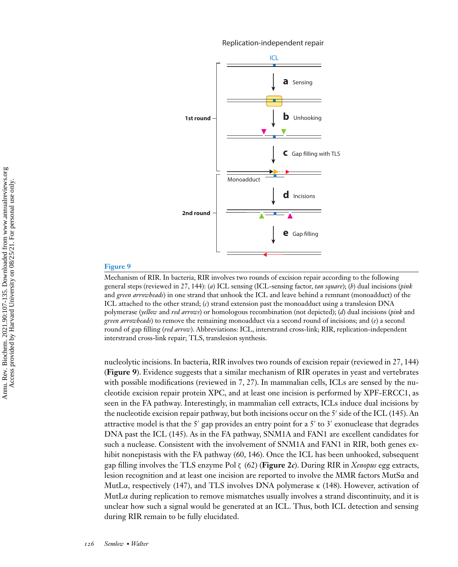Replication-independent repair



#### **Figure 9**

Mechanism of RIR. In bacteria, RIR involves two rounds of excision repair according to the following general steps (reviewed in [27,](#page-22-0) [144\)](#page-27-0): (*a*) ICL sensing (ICL-sensing factor, *tan square*); (*b*) dual incisions (*pink* and *green arrowheads*) in one strand that unhook the ICL and leave behind a remnant (monoadduct) of the ICL attached to the other strand; (*c*) strand extension past the monoadduct using a translesion DNA polymerase (*yellow* and *red arrows*) or homologous recombination (not depicted); (*d*) dual incisions (*pink* and *green arrowheads*) to remove the remaining monoadduct via a second round of incisions; and (*e*) a second round of gap filling (*red arrow*). Abbreviations: ICL, interstrand cross-link; RIR, replication-independent interstrand cross-link repair; TLS, translesion synthesis.

nucleolytic incisions. In bacteria, RIR involves two rounds of excision repair (reviewed in [27,](#page-22-0) [144\)](#page-27-0) (**Figure 9**). Evidence suggests that a similar mechanism of RIR operates in yeast and vertebrates with possible modifications (reviewed in [7,](#page-21-0) [27\)](#page-22-0). In mammalian cells, ICLs are sensed by the nucleotide excision repair protein XPC, and at least one incision is performed by XPF-ERCC1, as seen in the FA pathway. Interestingly, in mammalian cell extracts, ICLs induce dual incisions by the nucleotide excision repair pathway, but both incisions occur on the 5' side of the ICL  $(145)$ . An attractive model is that the 5' gap provides an entry point for a 5' to 3' exonuclease that degrades DNA past the ICL [\(145\)](#page-27-0). As in the FA pathway, SNM1A and FAN1 are excellent candidates for such a nuclease. Consistent with the involvement of SNM1A and FAN1 in RIR, both genes ex-hibit nonepistasis with the FA pathway [\(60,](#page-23-0) [146\)](#page-27-0). Once the ICL has been unhooked, subsequent gap filling involves the TLS enzyme Pol ζ [\(62\)](#page-23-0) (**Figure 2***c*). During RIR in *Xenopus* egg extracts, lesion recognition and at least one incision are reported to involve the MMR factors MutSα and MutLα, respectively [\(147\)](#page-27-0), and TLS involves DNA polymerase  $κ$  [\(148\)](#page-27-0). However, activation of MutL $\alpha$  during replication to remove mismatches usually involves a strand discontinuity, and it is unclear how such a signal would be generated at an ICL. Thus, both ICL detection and sensing during RIR remain to be fully elucidated.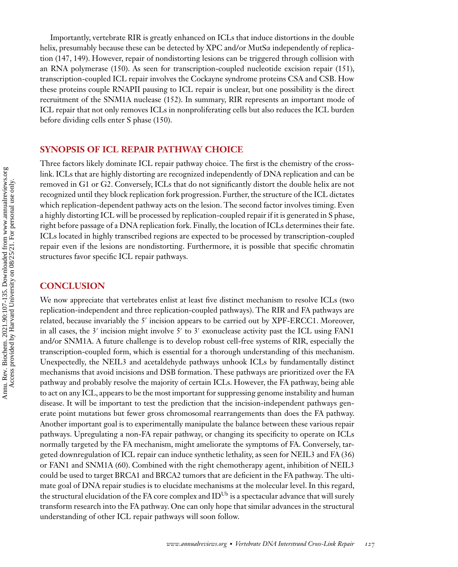Importantly, vertebrate RIR is greatly enhanced on ICLs that induce distortions in the double helix, presumably because these can be detected by XPC and/or MutSα independently of replication [\(147, 149\)](#page-27-0). However, repair of nondistorting lesions can be triggered through collision with an RNA polymerase [\(150\)](#page-27-0). As seen for transcription-coupled nucleotide excision repair [\(151\)](#page-27-0), transcription-coupled ICL repair involves the Cockayne syndrome proteins CSA and CSB. How these proteins couple RNAPII pausing to ICL repair is unclear, but one possibility is the direct recruitment of the SNM1A nuclease [\(152\)](#page-27-0). In summary, RIR represents an important mode of ICL repair that not only removes ICLs in nonproliferating cells but also reduces the ICL burden before dividing cells enter S phase [\(150\)](#page-27-0).

#### **SYNOPSIS OF ICL REPAIR PATHWAY CHOICE**

Three factors likely dominate ICL repair pathway choice. The first is the chemistry of the crosslink. ICLs that are highly distorting are recognized independently of DNA replication and can be removed in G1 or G2. Conversely, ICLs that do not significantly distort the double helix are not recognized until they block replication fork progression. Further, the structure of the ICL dictates which replication-dependent pathway acts on the lesion. The second factor involves timing. Even a highly distorting ICL will be processed by replication-coupled repair if it is generated in S phase, right before passage of a DNA replication fork. Finally, the location of ICLs determines their fate. ICLs located in highly transcribed regions are expected to be processed by transcription-coupled repair even if the lesions are nondistorting. Furthermore, it is possible that specific chromatin structures favor specific ICL repair pathways.

#### **CONCLUSION**

We now appreciate that vertebrates enlist at least five distinct mechanism to resolve ICLs (two replication-independent and three replication-coupled pathways). The RIR and FA pathways are related, because invariably the 5' incision appears to be carried out by XPF-ERCC1. Moreover, in all cases, the 3' incision might involve 5' to 3' exonuclease activity past the ICL using FAN1 and/or SNM1A. A future challenge is to develop robust cell-free systems of RIR, especially the transcription-coupled form, which is essential for a thorough understanding of this mechanism. Unexpectedly, the NEIL3 and acetaldehyde pathways unhook ICLs by fundamentally distinct mechanisms that avoid incisions and DSB formation. These pathways are prioritized over the FA pathway and probably resolve the majority of certain ICLs. However, the FA pathway, being able to act on any ICL, appears to be the most important for suppressing genome instability and human disease. It will be important to test the prediction that the incision-independent pathways generate point mutations but fewer gross chromosomal rearrangements than does the FA pathway. Another important goal is to experimentally manipulate the balance between these various repair pathways. Upregulating a non-FA repair pathway, or changing its specificity to operate on ICLs normally targeted by the FA mechanism, might ameliorate the symptoms of FA. Conversely, targeted downregulation of ICL repair can induce synthetic lethality, as seen for NEIL3 and FA [\(36\)](#page-22-0) or FAN1 and SNM1A [\(60\)](#page-23-0). Combined with the right chemotherapy agent, inhibition of NEIL3 could be used to target BRCA1 and BRCA2 tumors that are deficient in the FA pathway. The ultimate goal of DNA repair studies is to elucidate mechanisms at the molecular level. In this regard, the structural elucidation of the FA core complex and  $ID<sup>Ub</sup>$  is a spectacular advance that will surely transform research into the FA pathway. One can only hope that similar advances in the structural understanding of other ICL repair pathways will soon follow.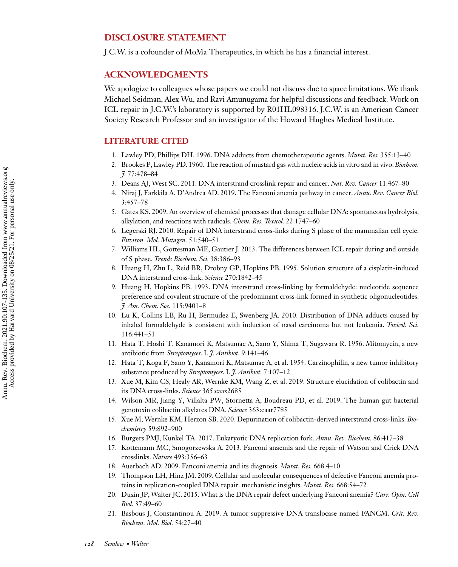#### <span id="page-21-0"></span>**DISCLOSURE STATEMENT**

J.C.W. is a cofounder of MoMa Therapeutics, in which he has a financial interest.

#### **ACKNOWLEDGMENTS**

We apologize to colleagues whose papers we could not discuss due to space limitations. We thank Michael Seidman, Alex Wu, and Ravi Amunugama for helpful discussions and feedback. Work on ICL repair in J.C.W.'s laboratory is supported by R01HL098316. J.C.W. is an American Cancer Society Research Professor and an investigator of the Howard Hughes Medical Institute.

#### **LITERATURE CITED**

- 1. Lawley PD, Phillips DH. 1996. DNA adducts from chemotherapeutic agents. *Mutat. Res.* 355:13–40
- 2. Brookes P, Lawley PD. 1960. The reaction of mustard gas with nucleic acids in vitro and in vivo. *Biochem. J.* 77:478–84
- 3. Deans AJ, West SC. 2011. DNA interstrand crosslink repair and cancer. *Nat. Rev. Cancer* 11:467–80
- 4. Niraj J, Farkkila A, D'Andrea AD. 2019. The Fanconi anemia pathway in cancer. *Annu. Rev. Cancer Biol.* 3:457–78
- 5. Gates KS. 2009. An overview of chemical processes that damage cellular DNA: spontaneous hydrolysis, alkylation, and reactions with radicals. *Chem. Res. Toxicol.* 22:1747–60
- 6. Legerski RJ. 2010. Repair of DNA interstrand cross-links during S phase of the mammalian cell cycle. *Environ. Mol. Mutagen.* 51:540–51
- 7. Williams HL, Gottesman ME, Gautier J. 2013. The differences between ICL repair during and outside of S phase. *Trends Biochem. Sci.* 38:386–93
- 8. Huang H, Zhu L, Reid BR, Drobny GP, Hopkins PB. 1995. Solution structure of a cisplatin-induced DNA interstrand cross-link. *Science* 270:1842–45
- 9. Huang H, Hopkins PB. 1993. DNA interstrand cross-linking by formaldehyde: nucleotide sequence preference and covalent structure of the predominant cross-link formed in synthetic oligonucleotides. *J. Am. Chem. Soc.* 115:9401–8
- 10. Lu K, Collins LB, Ru H, Bermudez E, Swenberg JA. 2010. Distribution of DNA adducts caused by inhaled formaldehyde is consistent with induction of nasal carcinoma but not leukemia. *Toxicol. Sci.* 116:441–51
- 11. Hata T, Hoshi T, Kanamori K, Matsumae A, Sano Y, Shima T, Sugawara R. 1956. Mitomycin, a new antibiotic from *Streptomyces*. I. *J. Antibiot.* 9:141–46
- 12. Hata T, Koga F, Sano Y, Kanamori K, Matsumae A, et al. 1954. Carzinophilin, a new tumor inhibitory substance produced by *Streptomyces*. I. *J. Antibiot.* 7:107–12
- 13. Xue M, Kim CS, Healy AR, Wernke KM, Wang Z, et al. 2019. Structure elucidation of colibactin and its DNA cross-links. *Science* 365:eaax2685
- 14. Wilson MR, Jiang Y, Villalta PW, Stornetta A, Boudreau PD, et al. 2019. The human gut bacterial genotoxin colibactin alkylates DNA. *Science* 363:eaar7785
- 15. Xue M, Wernke KM, Herzon SB. 2020. Depurination of colibactin-derived interstrand cross-links. *Biochemistry* 59:892–900
- 16. Burgers PMJ, Kunkel TA. 2017. Eukaryotic DNA replication fork. *Annu. Rev. Biochem.* 86:417–38
- 17. Kottemann MC, Smogorzewska A. 2013. Fanconi anaemia and the repair of Watson and Crick DNA crosslinks. *Nature* 493:356–63
- 18. Auerbach AD. 2009. Fanconi anemia and its diagnosis. *Mutat. Res.* 668:4–10
- 19. Thompson LH, Hinz JM. 2009. Cellular and molecular consequences of defective Fanconi anemia proteins in replication-coupled DNA repair: mechanistic insights. *Mutat. Res.* 668:54–72
- 20. Duxin JP, Walter JC. 2015. What is the DNA repair defect underlying Fanconi anemia? *Curr. Opin. Cell Biol.* 37:49–60
- 21. Basbous J, Constantinou A. 2019. A tumor suppressive DNA translocase named FANCM. *Crit. Rev. Biochem. Mol. Biol.* 54:27–40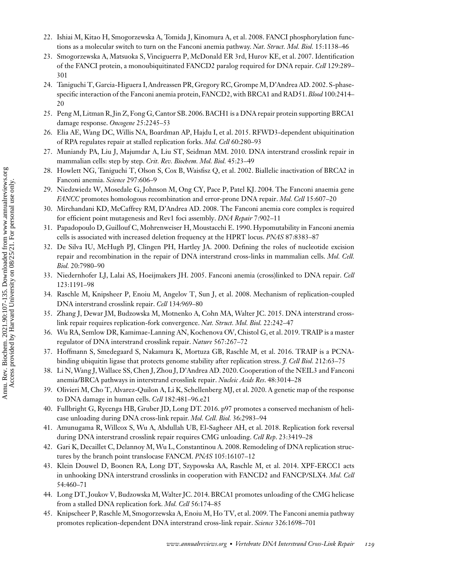- <span id="page-22-0"></span>22. Ishiai M, Kitao H, Smogorzewska A, Tomida J, Kinomura A, et al. 2008. FANCI phosphorylation functions as a molecular switch to turn on the Fanconi anemia pathway. *Nat. Struct. Mol. Biol.* 15:1138–46
- 23. Smogorzewska A, Matsuoka S, Vinciguerra P, McDonald ER 3rd, Hurov KE, et al. 2007. Identification of the FANCI protein, a monoubiquitinated FANCD2 paralog required for DNA repair. *Cell* 129:289– 301
- 24. Taniguchi T, Garcia-Higuera I, Andreassen PR, Gregory RC, Grompe M, D'Andrea AD. 2002. S-phasespecific interaction of the Fanconi anemia protein, FANCD2, with BRCA1 and RAD51. *Blood* 100:2414– 20
- 25. Peng M, Litman R, Jin Z, Fong G, Cantor SB. 2006. BACH1 is a DNA repair protein supporting BRCA1 damage response. *Oncogene* 25:2245–53
- 26. Elia AE, Wang DC, Willis NA, Boardman AP, Hajdu I, et al. 2015. RFWD3-dependent ubiquitination of RPA regulates repair at stalled replication forks. *Mol. Cell* 60:280–93
- 27. Muniandy PA, Liu J, Majumdar A, Liu ST, Seidman MM. 2010. DNA interstrand crosslink repair in mammalian cells: step by step. *Crit. Rev. Biochem. Mol. Biol.* 45:23–49
- 28. Howlett NG, Taniguchi T, Olson S, Cox B, Waisfisz Q, et al. 2002. Biallelic inactivation of BRCA2 in Fanconi anemia. *Science* 297:606–9
- 29. Niedzwiedz W, Mosedale G, Johnson M, Ong CY, Pace P, Patel KJ. 2004. The Fanconi anaemia gene *FANCC* promotes homologous recombination and error-prone DNA repair. *Mol. Cell* 15:607–20
- 30. Mirchandani KD, McCaffrey RM, D'Andrea AD. 2008. The Fanconi anemia core complex is required for efficient point mutagenesis and Rev1 foci assembly. *DNA Repair* 7:902–11
- 31. Papadopoulo D, Guillouf C, Mohrenweiser H, Moustacchi E. 1990. Hypomutability in Fanconi anemia cells is associated with increased deletion frequency at the HPRT locus. *PNAS* 87:8383–87
- 32. De Silva IU, McHugh PJ, Clingen PH, Hartley JA. 2000. Defining the roles of nucleotide excision repair and recombination in the repair of DNA interstrand cross-links in mammalian cells. *Mol. Cell. Biol.* 20:7980–90
- 33. Niedernhofer LJ, Lalai AS, Hoeijmakers JH. 2005. Fanconi anemia (cross)linked to DNA repair. *Cell* 123:1191–98
- 34. Raschle M, Knipsheer P, Enoiu M, Angelov T, Sun J, et al. 2008. Mechanism of replication-coupled DNA interstrand crosslink repair. *Cell* 134:969–80
- 35. Zhang J, Dewar JM, Budzowska M, Motnenko A, Cohn MA, Walter JC. 2015. DNA interstrand crosslink repair requires replication-fork convergence. *Nat. Struct. Mol. Biol.* 22:242–47
- 36. Wu RA, Semlow DR, Kamimae-Lanning AN, Kochenova OV, Chistol G, et al. 2019. TRAIP is a master regulator of DNA interstrand crosslink repair. *Nature* 567:267–72
- 37. Hoffmann S, Smedegaard S, Nakamura K, Mortuza GB, Raschle M, et al. 2016. TRAIP is a PCNAbinding ubiquitin ligase that protects genome stability after replication stress. *J. Cell Biol.* 212:63–75
- 38. Li N,Wang J,Wallace SS, Chen J, Zhou J, D'Andrea AD. 2020. Cooperation of the NEIL3 and Fanconi anemia/BRCA pathways in interstrand crosslink repair. *Nucleic Acids Res*. 48:3014–28
- 39. Olivieri M, Cho T, Alvarez-Quilon A, Li K, Schellenberg MJ, et al. 2020. A genetic map of the response to DNA damage in human cells. *Cell* 182:481–96.e21
- 40. Fullbright G, Rycenga HB, Gruber JD, Long DT. 2016. p97 promotes a conserved mechanism of helicase unloading during DNA cross-link repair. *Mol. Cell. Biol.* 36:2983–94
- 41. Amunugama R, Willcox S, Wu A, Abdullah UB, El-Sagheer AH, et al. 2018. Replication fork reversal during DNA interstrand crosslink repair requires CMG unloading. *Cell Rep*. 23:3419–28
- 42. Gari K, Decaillet C, Delannoy M, Wu L, Constantinou A. 2008. Remodeling of DNA replication structures by the branch point translocase FANCM. *PNAS* 105:16107–12
- 43. Klein Douwel D, Boonen RA, Long DT, Szypowska AA, Raschle M, et al. 2014. XPF-ERCC1 acts in unhooking DNA interstrand crosslinks in cooperation with FANCD2 and FANCP/SLX4. *Mol. Cell* 54:460–71
- 44. Long DT, Joukov V, Budzowska M,Walter JC. 2014. BRCA1 promotes unloading of the CMG helicase from a stalled DNA replication fork. *Mol. Cell* 56:174–85
- 45. Knipscheer P, Raschle M, Smogorzewska A, Enoiu M, Ho TV, et al. 2009. The Fanconi anemia pathway promotes replication-dependent DNA interstrand cross-link repair. *Science* 326:1698–701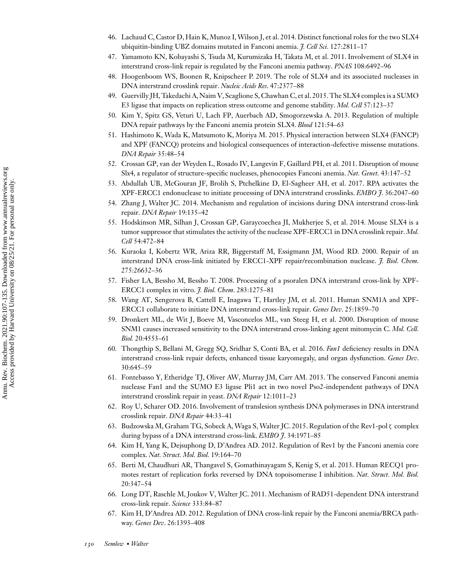- <span id="page-23-0"></span>46. Lachaud C, Castor D, Hain K, Munoz I,Wilson J, et al. 2014. Distinct functional roles for the two SLX4 ubiquitin-binding UBZ domains mutated in Fanconi anemia. *J. Cell Sci.* 127:2811–17
- 47. Yamamoto KN, Kobayashi S, Tsuda M, Kurumizaka H, Takata M, et al. 2011. Involvement of SLX4 in interstrand cross-link repair is regulated by the Fanconi anemia pathway. *PNAS* 108:6492–96
- 48. Hoogenboom WS, Boonen R, Knipscheer P. 2019. The role of SLX4 and its associated nucleases in DNA interstrand crosslink repair. *Nucleic Acids Res*. 47:2377–88
- 49. Guervilly JH, Takedachi A,Naim V, Scaglione S, Chawhan C, et al. 2015. The SLX4 complex is a SUMO E3 ligase that impacts on replication stress outcome and genome stability. *Mol. Cell* 57:123–37
- 50. Kim Y, Spitz GS, Veturi U, Lach FP, Auerbach AD, Smogorzewska A. 2013. Regulation of multiple DNA repair pathways by the Fanconi anemia protein SLX4. *Blood* 121:54–63
- 51. Hashimoto K, Wada K, Matsumoto K, Moriya M. 2015. Physical interaction between SLX4 (FANCP) and XPF (FANCQ) proteins and biological consequences of interaction-defective missense mutations. *DNA Repair* 35:48–54
- 52. Crossan GP, van der Weyden L, Rosado IV, Langevin F, Gaillard PH, et al. 2011. Disruption of mouse Slx4, a regulator of structure-specific nucleases, phenocopies Fanconi anemia. *Nat. Genet.* 43:147–52
- 53. Abdullah UB, McGouran JF, Brolih S, Ptchelkine D, El-Sagheer AH, et al. 2017. RPA activates the XPF-ERCC1 endonuclease to initiate processing of DNA interstrand crosslinks. *EMBO J*. 36:2047–60
- 54. Zhang J, Walter JC. 2014. Mechanism and regulation of incisions during DNA interstrand cross-link repair. *DNA Repair* 19:135–42
- 55. Hodskinson MR, Silhan J, Crossan GP, Garaycoechea JI, Mukherjee S, et al. 2014. Mouse SLX4 is a tumor suppressor that stimulates the activity of the nuclease XPF-ERCC1 in DNA crosslink repair. *Mol. Cell* 54:472–84
- 56. Kuraoka I, Kobertz WR, Ariza RR, Biggerstaff M, Essigmann JM, Wood RD. 2000. Repair of an interstrand DNA cross-link initiated by ERCC1-XPF repair/recombination nuclease. *J. Biol. Chem.* 275:26632–36
- 57. Fisher LA, Bessho M, Bessho T. 2008. Processing of a psoralen DNA interstrand cross-link by XPF-ERCC1 complex in vitro. *J. Biol. Chem.* 283:1275–81
- 58. Wang AT, Sengerova B, Cattell E, Inagawa T, Hartley JM, et al. 2011. Human SNM1A and XPF-ERCC1 collaborate to initiate DNA interstrand cross-link repair. *Genes Dev*. 25:1859–70
- 59. Dronkert ML, de Wit J, Boeve M, Vasconcelos ML, van Steeg H, et al. 2000. Disruption of mouse SNM1 causes increased sensitivity to the DNA interstrand cross-linking agent mitomycin C. *Mol. Cell. Biol.* 20:4553–61
- 60. Thongthip S, Bellani M, Gregg SQ, Sridhar S, Conti BA, et al. 2016. *Fan1* deficiency results in DNA interstrand cross-link repair defects, enhanced tissue karyomegaly, and organ dysfunction. *Genes Dev*. 30:645–59
- 61. Fontebasso Y, Etheridge TJ, Oliver AW, Murray JM, Carr AM. 2013. The conserved Fanconi anemia nuclease Fan1 and the SUMO E3 ligase Pli1 act in two novel Pso2-independent pathways of DNA interstrand crosslink repair in yeast. *DNA Repair* 12:1011–23
- 62. Roy U, Scharer OD. 2016. Involvement of translesion synthesis DNA polymerases in DNA interstrand crosslink repair. *DNA Repair* 44:33–41
- 63. Budzowska M, Graham TG, Sobeck A, Waga S, Walter JC. 2015. Regulation of the Rev1-pol ζ complex during bypass of a DNA interstrand cross-link. *EMBO J*. 34:1971–85
- 64. Kim H, Yang K, Dejsuphong D, D'Andrea AD. 2012. Regulation of Rev1 by the Fanconi anemia core complex. *Nat. Struct. Mol. Biol.* 19:164–70
- 65. Berti M, Chaudhuri AR, Thangavel S, Gomathinayagam S, Kenig S, et al. 2013. Human RECQ1 promotes restart of replication forks reversed by DNA topoisomerase I inhibition. *Nat. Struct. Mol. Biol.* 20:347–54
- 66. Long DT, Raschle M, Joukov V, Walter JC. 2011. Mechanism of RAD51-dependent DNA interstrand cross-link repair. *Science* 333:84–87
- 67. Kim H, D'Andrea AD. 2012. Regulation of DNA cross-link repair by the Fanconi anemia/BRCA pathway. *Genes Dev*. 26:1393–408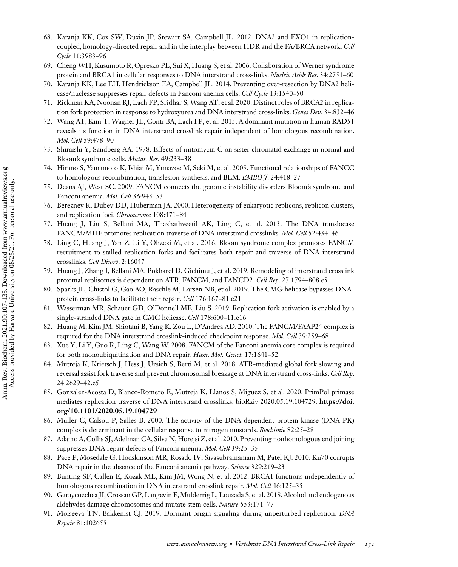- <span id="page-24-0"></span>68. Karanja KK, Cox SW, Duxin JP, Stewart SA, Campbell JL. 2012. DNA2 and EXO1 in replicationcoupled, homology-directed repair and in the interplay between HDR and the FA/BRCA network. *Cell Cycle* 11:3983–96
- 69. Cheng WH, Kusumoto R, Opresko PL, Sui X, Huang S, et al. 2006. Collaboration of Werner syndrome protein and BRCA1 in cellular responses to DNA interstrand cross-links. *Nucleic Acids Res*. 34:2751–60
- 70. Karanja KK, Lee EH, Hendrickson EA, Campbell JL. 2014. Preventing over-resection by DNA2 helicase/nuclease suppresses repair defects in Fanconi anemia cells. *Cell Cycle* 13:1540–50
- 71. Rickman KA, Noonan RJ, Lach FP, Sridhar S,Wang AT, et al. 2020. Distinct roles of BRCA2 in replication fork protection in response to hydroxyurea and DNA interstrand cross-links. *Genes Dev*. 34:832–46
- 72. Wang AT, Kim T, Wagner JE, Conti BA, Lach FP, et al. 2015. A dominant mutation in human RAD51 reveals its function in DNA interstrand crosslink repair independent of homologous recombination. *Mol. Cell* 59:478–90
- 73. Shiraishi Y, Sandberg AA. 1978. Effects of mitomycin C on sister chromatid exchange in normal and Bloom's syndrome cells. *Mutat. Res.* 49:233–38
- 74. Hirano S, Yamamoto K, Ishiai M, Yamazoe M, Seki M, et al. 2005. Functional relationships of FANCC to homologous recombination, translesion synthesis, and BLM. *EMBO J*. 24:418–27
- 75. Deans AJ, West SC. 2009. FANCM connects the genome instability disorders Bloom's syndrome and Fanconi anemia. *Mol. Cell* 36:943–53
- 76. Berezney R, Dubey DD, Huberman JA. 2000. Heterogeneity of eukaryotic replicons, replicon clusters, and replication foci. *Chromosoma* 108:471–84
- 77. Huang J, Liu S, Bellani MA, Thazhathveetil AK, Ling C, et al. 2013. The DNA translocase FANCM/MHF promotes replication traverse of DNA interstrand crosslinks. *Mol. Cell* 52:434–46
- 78. Ling C, Huang J, Yan Z, Li Y, Ohzeki M, et al. 2016. Bloom syndrome complex promotes FANCM recruitment to stalled replication forks and facilitates both repair and traverse of DNA interstrand crosslinks. *Cell Discov*. 2:16047
- 79. Huang J, Zhang J, Bellani MA, Pokharel D, Gichimu J, et al. 2019. Remodeling of interstrand crosslink proximal replisomes is dependent on ATR, FANCM, and FANCD2. *Cell Rep*. 27:1794–808.e5
- 80. Sparks JL, Chistol G, Gao AO, Raschle M, Larsen NB, et al. 2019. The CMG helicase bypasses DNAprotein cross-links to facilitate their repair. *Cell* 176:167–81.e21
- 81. Wasserman MR, Schauer GD, O'Donnell ME, Liu S. 2019. Replication fork activation is enabled by a single-stranded DNA gate in CMG helicase. *Cell* 178:600–11.e16
- 82. Huang M, Kim JM, Shiotani B, Yang K, Zou L, D'Andrea AD. 2010. The FANCM/FAAP24 complex is required for the DNA interstrand crosslink-induced checkpoint response. *Mol. Cell* 39:259–68
- 83. Xue Y, Li Y, Guo R, Ling C, Wang W. 2008. FANCM of the Fanconi anemia core complex is required for both monoubiquitination and DNA repair. *Hum. Mol. Genet.* 17:1641–52
- 84. Mutreja K, Krietsch J, Hess J, Ursich S, Berti M, et al. 2018. ATR-mediated global fork slowing and reversal assist fork traverse and prevent chromosomal breakage at DNA interstrand cross-links. *Cell Rep*. 24:2629–42.e5
- 85. Gonzalez-Acosta D, Blanco-Romero E, Mutreja K, Llanos S, Miguez S, et al. 2020. PrimPol primase [mediates replication traverse of DNA interstrand crosslinks. bioRxiv 2020.05.19.104729.](https://doi.org/10.1101/2020.05.19.104729) **https://doi. org/10.1101/2020.05.19.104729**
- 86. Muller C, Calsou P, Salles B. 2000. The activity of the DNA-dependent protein kinase (DNA-PK) complex is determinant in the cellular response to nitrogen mustards. *Biochimie* 82:25–28
- 87. Adamo A, Collis SJ, Adelman CA, Silva N, Horejsi Z, et al. 2010. Preventing nonhomologous end joining suppresses DNA repair defects of Fanconi anemia. *Mol. Cell* 39:25–35
- 88. Pace P, Mosedale G, Hodskinson MR, Rosado IV, Sivasubramaniam M, Patel KJ. 2010. Ku70 corrupts DNA repair in the absence of the Fanconi anemia pathway. *Science* 329:219–23
- 89. Bunting SF, Callen E, Kozak ML, Kim JM, Wong N, et al. 2012. BRCA1 functions independently of homologous recombination in DNA interstrand crosslink repair. *Mol. Cell* 46:125–35
- 90. Garaycoechea JI, Crossan GP, Langevin F,Mulderrig L, Louzada S, et al. 2018. Alcohol and endogenous aldehydes damage chromosomes and mutate stem cells. *Nature* 553:171–77
- 91. Moiseeva TN, Bakkenist CJ. 2019. Dormant origin signaling during unperturbed replication. *DNA Repair* 81:102655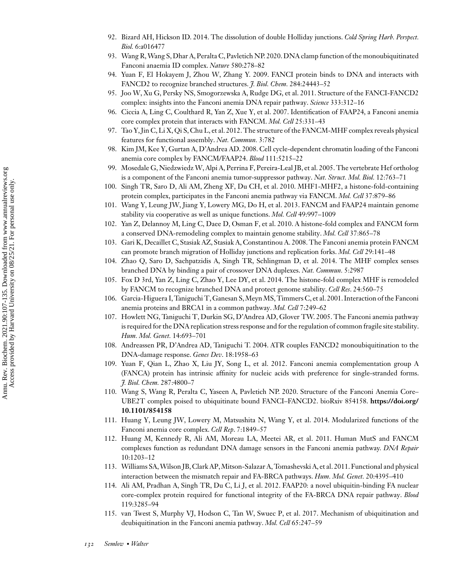- <span id="page-25-0"></span>92. Bizard AH, Hickson ID. 2014. The dissolution of double Holliday junctions. *Cold Spring Harb. Perspect. Biol.* 6:a016477
- 93. Wang R,Wang S, Dhar A, Peralta C, Pavletich NP. 2020. DNA clamp function of the monoubiquitinated Fanconi anaemia ID complex. *Nature* 580:278–82
- 94. Yuan F, El Hokayem J, Zhou W, Zhang Y. 2009. FANCI protein binds to DNA and interacts with FANCD2 to recognize branched structures. *J. Biol. Chem.* 284:24443–52
- 95. Joo W, Xu G, Persky NS, Smogorzewska A, Rudge DG, et al. 2011. Structure of the FANCI-FANCD2 complex: insights into the Fanconi anemia DNA repair pathway. *Science* 333:312–16
- 96. Ciccia A, Ling C, Coulthard R, Yan Z, Xue Y, et al. 2007. Identification of FAAP24, a Fanconi anemia core complex protein that interacts with FANCM. *Mol. Cell* 25:331–43
- 97. Tao Y, Jin C, Li X, Qi S, Chu L, et al. 2012. The structure of the FANCM-MHF complex reveals physical features for functional assembly. *Nat. Commun.* 3:782
- 98. Kim JM, Kee Y, Gurtan A, D'Andrea AD. 2008. Cell cycle-dependent chromatin loading of the Fanconi anemia core complex by FANCM/FAAP24. *Blood* 111:5215–22
- 99. Mosedale G, Niedzwiedz W, Alpi A, Perrina F, Pereira-Leal JB, et al. 2005. The vertebrate Hef ortholog is a component of the Fanconi anemia tumor-suppressor pathway. *Nat. Struct. Mol. Biol.* 12:763–71
- 100. Singh TR, Saro D, Ali AM, Zheng XF, Du CH, et al. 2010. MHF1-MHF2, a histone-fold-containing protein complex, participates in the Fanconi anemia pathway via FANCM. *Mol. Cell* 37:879–86
- 101. Wang Y, Leung JW, Jiang Y, Lowery MG, Do H, et al. 2013. FANCM and FAAP24 maintain genome stability via cooperative as well as unique functions. *Mol. Cell* 49:997–1009
- 102. Yan Z, Delannoy M, Ling C, Daee D, Osman F, et al. 2010. A histone-fold complex and FANCM form a conserved DNA-remodeling complex to maintain genome stability. *Mol. Cell* 37:865–78
- 103. Gari K, Decaillet C, Stasiak AZ, Stasiak A, Constantinou A. 2008. The Fanconi anemia protein FANCM can promote branch migration of Holliday junctions and replication forks. *Mol. Cell* 29:141–48
- 104. Zhao Q, Saro D, Sachpatzidis A, Singh TR, Schlingman D, et al. 2014. The MHF complex senses branched DNA by binding a pair of crossover DNA duplexes. *Nat. Commun.* 5:2987
- 105. Fox D 3rd, Yan Z, Ling C, Zhao Y, Lee DY, et al. 2014. The histone-fold complex MHF is remodeled by FANCM to recognize branched DNA and protect genome stability. *Cell Res*. 24:560–75
- 106. Garcia-Higuera I, Taniguchi T, Ganesan S,Meyn MS, Timmers C, et al. 2001. Interaction of the Fanconi anemia proteins and BRCA1 in a common pathway. *Mol. Cell* 7:249–62
- 107. Howlett NG, Taniguchi T, Durkin SG, D'Andrea AD, Glover TW. 2005. The Fanconi anemia pathway is required for the DNA replication stress response and for the regulation of common fragile site stability. *Hum. Mol. Genet.* 14:693–701
- 108. Andreassen PR, D'Andrea AD, Taniguchi T. 2004. ATR couples FANCD2 monoubiquitination to the DNA-damage response. *Genes Dev*. 18:1958–63
- 109. Yuan F, Qian L, Zhao X, Liu JY, Song L, et al. 2012. Fanconi anemia complementation group A (FANCA) protein has intrinsic affinity for nucleic acids with preference for single-stranded forms. *J. Biol. Chem.* 287:4800–7
- 110. Wang S, Wang R, Peralta C, Yaseen A, Pavletich NP. 2020. Structure of the Fanconi Anemia Core– [UBE2T complex poised to ubiquitinate bound FANCI–FANCD2. bioRxiv 854158.](https://doi.org/10.1101/854158) **https://doi.org/ 10.1101/854158**
- 111. Huang Y, Leung JW, Lowery M, Matsushita N, Wang Y, et al. 2014. Modularized functions of the Fanconi anemia core complex. *Cell Rep*. 7:1849–57
- 112. Huang M, Kennedy R, Ali AM, Moreau LA, Meetei AR, et al. 2011. Human MutS and FANCM complexes function as redundant DNA damage sensors in the Fanconi anemia pathway. *DNA Repair* 10:1203–12
- 113. Williams SA,Wilson JB, Clark AP,Mitson-Salazar A, Tomashevski A, et al. 2011. Functional and physical interaction between the mismatch repair and FA-BRCA pathways. *Hum. Mol. Genet.* 20:4395–410
- 114. Ali AM, Pradhan A, Singh TR, Du C, Li J, et al. 2012. FAAP20: a novel ubiquitin-binding FA nuclear core-complex protein required for functional integrity of the FA-BRCA DNA repair pathway. *Blood* 119:3285–94
- 115. van Twest S, Murphy VJ, Hodson C, Tan W, Swuec P, et al. 2017. Mechanism of ubiquitination and deubiquitination in the Fanconi anemia pathway. *Mol. Cell* 65:247–59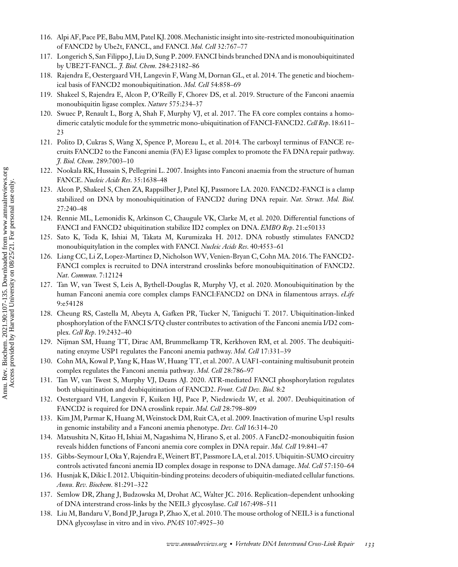- <span id="page-26-0"></span>116. Alpi AF, Pace PE, Babu MM, Patel KJ. 2008.Mechanistic insight into site-restricted monoubiquitination of FANCD2 by Ube2t, FANCL, and FANCI. *Mol. Cell* 32:767–77
- 117. Longerich S, San Filippo J, Liu D, Sung P. 2009. FANCI binds branched DNA and is monoubiquitinated by UBE2T-FANCL. *J. Biol. Chem.* 284:23182–86
- 118. Rajendra E, Oestergaard VH, Langevin F, Wang M, Dornan GL, et al. 2014. The genetic and biochemical basis of FANCD2 monoubiquitination. *Mol. Cell* 54:858–69
- 119. Shakeel S, Rajendra E, Alcon P, O'Reilly F, Chorev DS, et al. 2019. Structure of the Fanconi anaemia monoubiquitin ligase complex. *Nature* 575:234–37
- 120. Swuec P, Renault L, Borg A, Shah F, Murphy VJ, et al. 2017. The FA core complex contains a homodimeric catalytic module for the symmetric mono-ubiquitination of FANCI-FANCD2.*Cell Rep*. 18:611– 23
- 121. Polito D, Cukras S, Wang X, Spence P, Moreau L, et al. 2014. The carboxyl terminus of FANCE recruits FANCD2 to the Fanconi anemia (FA) E3 ligase complex to promote the FA DNA repair pathway. *J. Biol. Chem.* 289:7003–10
- 122. Nookala RK, Hussain S, Pellegrini L. 2007. Insights into Fanconi anaemia from the structure of human FANCE. *Nucleic Acids Res*. 35:1638–48
- 123. Alcon P, Shakeel S, Chen ZA, Rappsilber J, Patel KJ, Passmore LA. 2020. FANCD2-FANCI is a clamp stabilized on DNA by monoubiquitination of FANCD2 during DNA repair. *Nat. Struct. Mol. Biol.* 27:240–48
- 124. Rennie ML, Lemonidis K, Arkinson C, Chaugule VK, Clarke M, et al. 2020. Differential functions of FANCI and FANCD2 ubiquitination stabilize ID2 complex on DNA. *EMBO Rep*. 21:e50133
- 125. Sato K, Toda K, Ishiai M, Takata M, Kurumizaka H. 2012. DNA robustly stimulates FANCD2 monoubiquitylation in the complex with FANCI. *Nucleic Acids Res*. 40:4553–61
- 126. Liang CC, Li Z, Lopez-Martinez D, Nicholson WV, Venien-Bryan C, Cohn MA. 2016. The FANCD2- FANCI complex is recruited to DNA interstrand crosslinks before monoubiquitination of FANCD2. *Nat. Commun.* 7:12124
- 127. Tan W, van Twest S, Leis A, Bythell-Douglas R, Murphy VJ, et al. 2020. Monoubiquitination by the human Fanconi anemia core complex clamps FANCI:FANCD2 on DNA in filamentous arrays. *eLife* 9:e54128
- 128. Cheung RS, Castella M, Abeyta A, Gafken PR, Tucker N, Taniguchi T. 2017. Ubiquitination-linked phosphorylation of the FANCI S/TQ cluster contributes to activation of the Fanconi anemia I/D2 complex. *Cell Rep*. 19:2432–40
- 129. Nijman SM, Huang TT, Dirac AM, Brummelkamp TR, Kerkhoven RM, et al. 2005. The deubiquitinating enzyme USP1 regulates the Fanconi anemia pathway. *Mol. Cell* 17:331–39
- 130. Cohn MA, Kowal P, Yang K, Haas W, Huang TT, et al. 2007. A UAF1-containing multisubunit protein complex regulates the Fanconi anemia pathway. *Mol. Cell* 28:786–97
- 131. Tan W, van Twest S, Murphy VJ, Deans AJ. 2020. ATR-mediated FANCI phosphorylation regulates both ubiquitination and deubiquitination of FANCD2. *Front. Cell Dev. Biol.* 8:2
- 132. Oestergaard VH, Langevin F, Kuiken HJ, Pace P, Niedzwiedz W, et al. 2007. Deubiquitination of FANCD2 is required for DNA crosslink repair. *Mol. Cell* 28:798–809
- 133. Kim JM, Parmar K, Huang M,Weinstock DM, Ruit CA, et al. 2009. Inactivation of murine Usp1 results in genomic instability and a Fanconi anemia phenotype. *Dev. Cell* 16:314–20
- 134. Matsushita N, Kitao H, Ishiai M, Nagashima N, Hirano S, et al. 2005. A FancD2-monoubiquitin fusion reveals hidden functions of Fanconi anemia core complex in DNA repair. *Mol. Cell* 19:841–47
- 135. Gibbs-Seymour I, Oka Y, Rajendra E,Weinert BT, Passmore LA, et al. 2015. Ubiquitin-SUMO circuitry controls activated fanconi anemia ID complex dosage in response to DNA damage. *Mol. Cell* 57:150–64
- 136. Husnjak K, Dikic I. 2012. Ubiquitin-binding proteins: decoders of ubiquitin-mediated cellular functions. *Annu. Rev. Biochem.* 81:291–322
- 137. Semlow DR, Zhang J, Budzowska M, Drohat AC, Walter JC. 2016. Replication-dependent unhooking of DNA interstrand cross-links by the NEIL3 glycosylase. *Cell* 167:498–511
- 138. Liu M, Bandaru V, Bond JP, Jaruga P, Zhao X, et al. 2010. The mouse ortholog of NEIL3 is a functional DNA glycosylase in vitro and in vivo. *PNAS* 107:4925–30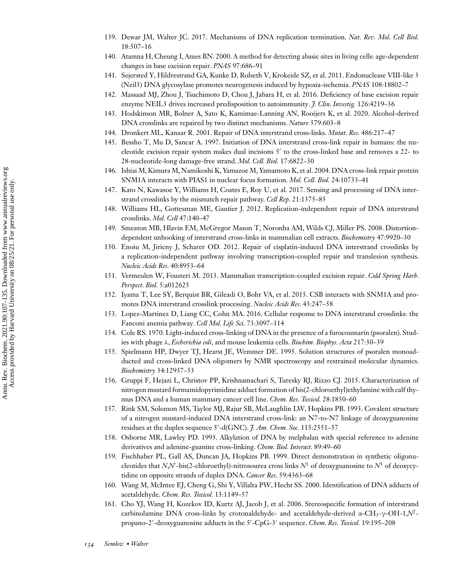- <span id="page-27-0"></span>139. Dewar JM, Walter JC. 2017. Mechanisms of DNA replication termination. *Nat. Rev. Mol. Cell Biol.* 18:507–16
- 140. Atamna H, Cheung I, Ames BN. 2000. A method for detecting abasic sites in living cells: age-dependent changes in base excision repair. *PNAS* 97:686–91
- 141. Sejersted Y, Hildrestrand GA, Kunke D, Rolseth V, Krokeide SZ, et al. 2011. Endonuclease VIII-like 3 (Neil3) DNA glycosylase promotes neurogenesis induced by hypoxia-ischemia. *PNAS* 108:18802–7
- 142. Massaad MJ, Zhou J, Tsuchimoto D, Chou J, Jabara H, et al. 2016. Deficiency of base excision repair enzyme NEIL3 drives increased predisposition to autoimmunity. *J. Clin. Investig.* 126:4219–36
- 143. Hodskinson MR, Bolner A, Sato K, Kamimae-Lanning AN, Rooijers K, et al. 2020. Alcohol-derived DNA crosslinks are repaired by two distinct mechanisms. *Nature* 579:603–8
- 144. Dronkert ML, Kanaar R. 2001. Repair of DNA interstrand cross-links. *Mutat. Res.* 486:217–47
- 145. Bessho T, Mu D, Sancar A. 1997. Initiation of DNA interstrand cross-link repair in humans: the nucleotide excision repair system makes dual incisions 5' to the cross-linked base and removes a 22- to 28-nucleotide-long damage-free strand. *Mol. Cell. Biol.* 17:6822–30
- 146. Ishiai M, Kimura M, Namikoshi K, Yamazoe M, Yamamoto K, et al. 2004. DNA cross-link repair protein SNM1A interacts with PIAS1 in nuclear focus formation. *Mol. Cell. Biol.* 24:10733–41
- 147. Kato N, Kawasoe Y, Williams H, Coates E, Roy U, et al. 2017. Sensing and processing of DNA interstrand crosslinks by the mismatch repair pathway. *Cell Rep*. 21:1375–85
- 148. Williams HL, Gottesman ME, Gautier J. 2012. Replication-independent repair of DNA interstrand crosslinks. *Mol. Cell* 47:140–47
- 149. Smeaton MB, Hlavin EM, McGregor Mason T, Noronha AM, Wilds CJ, Miller PS. 2008. Distortiondependent unhooking of interstrand cross-links in mammalian cell extracts. *Biochemistry* 47:9920–30
- 150. Enoiu M, Jiricny J, Scharer OD. 2012. Repair of cisplatin-induced DNA interstrand crosslinks by a replication-independent pathway involving transcription-coupled repair and translesion synthesis. *Nucleic Acids Res*. 40:8953–64
- 151. Vermeulen W, Fousteri M. 2013. Mammalian transcription-coupled excision repair. *Cold Spring Harb. Perspect. Biol.* 5:a012625
- 152. Iyama T, Lee SY, Berquist BR, Gileadi O, Bohr VA, et al. 2015. CSB interacts with SNM1A and promotes DNA interstrand crosslink processing. *Nucleic Acids Res*. 43:247–58
- 153. Lopez-Martinez D, Liang CC, Cohn MA. 2016. Cellular response to DNA interstrand crosslinks: the Fanconi anemia pathway. *Cell Mol. Life Sci.* 73:3097–114
- 154. Cole RS. 1970. Light-induced cross-linking of DNA in the presence of a furocoumarin (psoralen). Studies with phage λ, *Escherichia coli*, and mouse leukemia cells. *Biochim. Biophys. Acta* 217:30–39
- 155. Spielmann HP, Dwyer TJ, Hearst JE, Wemmer DE. 1995. Solution structures of psoralen monoadducted and cross-linked DNA oligomers by NMR spectroscopy and restrained molecular dynamics. *Biochemistry* 34:12937–53
- 156. Gruppi F, Hejazi L, Christov PP, Krishnamachari S, Turesky RJ, Rizzo CJ. 2015. Characterization of nitrogen mustard formamidopyrimidine adduct formation of bis(2-chloroethyl)ethylamine with calf thymus DNA and a human mammary cancer cell line. *Chem. Res. Toxicol.* 28:1850–60
- 157. Rink SM, Solomon MS, Taylor MJ, Rajur SB, McLaughlin LW, Hopkins PB. 1993. Covalent structure of a nitrogen mustard-induced DNA interstrand cross-link: an N7-to-N7 linkage of deoxyguanosine residues at the duplex sequence 5'-d(GNC). *J. Am. Chem. Soc.* 115:2551–57
- 158. Osborne MR, Lawley PD. 1993. Alkylation of DNA by melphalan with special reference to adenine derivatives and adenine-guanine cross-linking. *Chem. Biol. Interact.* 89:49–60
- 159. Fischhaber PL, Gall AS, Duncan JA, Hopkins PB. 1999. Direct demonstration in synthetic oligonucleotides that *N*,*N*'-bis(2-chloroethyl)-nitrosourea cross links  $N^1$  of deoxyguanosine to  $N^3$  of deoxycytidine on opposite strands of duplex DNA. *Cancer Res*. 59:4363–68
- 160. Wang M, McIntee EJ, Cheng G, Shi Y, Villalta PW, Hecht SS. 2000. Identification of DNA adducts of acetaldehyde. *Chem. Res. Toxicol.* 13:1149–57
- 161. Cho YJ, Wang H, Kozekov ID, Kurtz AJ, Jacob J, et al. 2006. Stereospecific formation of interstrand carbinolamine DNA cross-links by crotonaldehyde- and acetaldehyde-derived α-CH3-γ-OH-1,*N*2 propano-2'-deoxyguanosine adducts in the 5'-CpG-3' sequence. *Chem. Res. Toxicol.* 19:195–208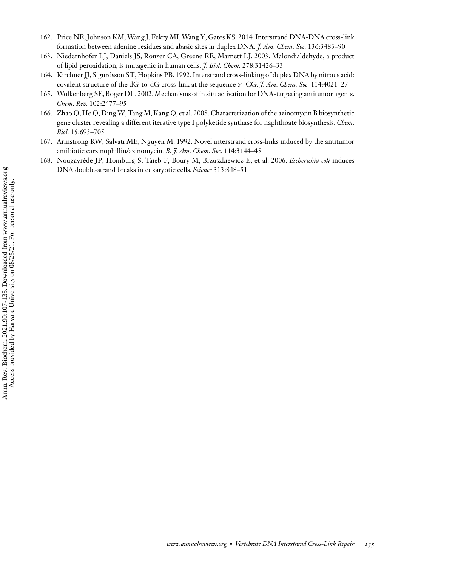- <span id="page-28-0"></span>162. Price NE, Johnson KM,Wang J, Fekry MI,Wang Y, Gates KS. 2014. Interstrand DNA-DNA cross-link formation between adenine residues and abasic sites in duplex DNA. *J. Am. Chem. Soc.* 136:3483–90
- 163. Niedernhofer LJ, Daniels JS, Rouzer CA, Greene RE, Marnett LJ. 2003. Malondialdehyde, a product of lipid peroxidation, is mutagenic in human cells. *J. Biol. Chem.* 278:31426–33
- 164. Kirchner JJ, Sigurdsson ST, Hopkins PB. 1992. Interstrand cross-linking of duplex DNA by nitrous acid: covalent structure of the dG-to-dG cross-link at the sequence 5'-CG. *J. Am. Chem. Soc.* 114:4021–27
- 165. Wolkenberg SE, Boger DL. 2002.Mechanisms of in situ activation for DNA-targeting antitumor agents. *Chem. Rev.* 102:2477–95
- 166. Zhao Q, He Q, Ding W, Tang M, Kang Q, et al. 2008. Characterization of the azinomycin B biosynthetic gene cluster revealing a different iterative type I polyketide synthase for naphthoate biosynthesis. *Chem. Biol.* 15:693–705
- 167. Armstrong RW, Salvati ME, Nguyen M. 1992. Novel interstrand cross-links induced by the antitumor antibiotic carzinophillin/azinomycin. *B. J. Am. Chem. Soc.* 114:3144–45
- 168. Nougayrède JP, Homburg S, Taieb F, Boury M, Brzuszkiewicz E, et al. 2006. *Escherichia coli* induces DNA double-strand breaks in eukaryotic cells. *Science* 313:848–51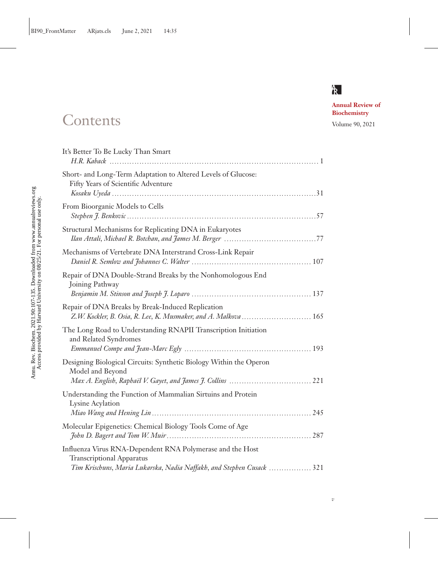## $R$

*v*

**Annual Review of**

# **Biochemistry** Contents Volume 90, 2021

| It's Better To Be Lucky Than Smart                                                                                   |
|----------------------------------------------------------------------------------------------------------------------|
| Short- and Long-Term Adaptation to Altered Levels of Glucose:<br>Fifty Years of Scientific Adventure                 |
| From Bioorganic Models to Cells                                                                                      |
| Structural Mechanisms for Replicating DNA in Eukaryotes                                                              |
| Mechanisms of Vertebrate DNA Interstrand Cross-Link Repair                                                           |
| Repair of DNA Double-Strand Breaks by the Nonhomologous End<br>Joining Pathway                                       |
| Repair of DNA Breaks by Break-Induced Replication<br>Z.W. Kockler, B. Osia, R. Lee, K. Musmaker, and A. Malkova  165 |
| The Long Road to Understanding RNAPII Transcription Initiation<br>and Related Syndromes                              |
| Designing Biological Circuits: Synthetic Biology Within the Operon<br>Model and Beyond                               |
| Understanding the Function of Mammalian Sirtuins and Protein<br>Lysine Acylation                                     |
| Molecular Epigenetics: Chemical Biology Tools Come of Age                                                            |
| Influenza Virus RNA-Dependent RNA Polymerase and the Host<br><b>Transcriptional Apparatus</b>                        |
| Tim Krischuns, Maria Lukarska, Nadia Naffakh, and Stephen Cusack  321                                                |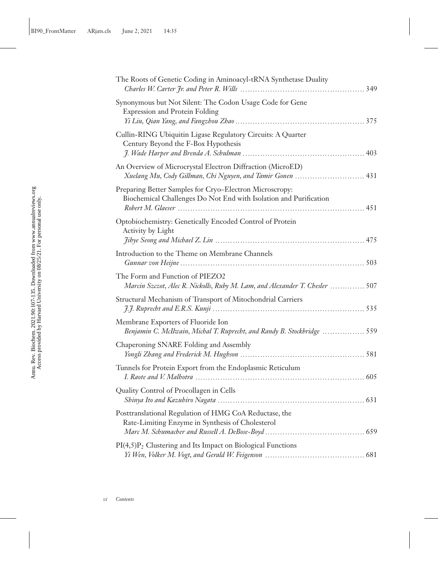| The Roots of Genetic Coding in Aminoacyl-tRNA Synthetase Duality                                                             |
|------------------------------------------------------------------------------------------------------------------------------|
| Synonymous but Not Silent: The Codon Usage Code for Gene<br><b>Expression and Protein Folding</b>                            |
| Cullin-RING Ubiquitin Ligase Regulatory Circuits: A Quarter<br>Century Beyond the F-Box Hypothesis                           |
| An Overview of Microcrystal Electron Diffraction (MicroED)<br>Xuelang Mu, Cody Gillman, Chi Nguyen, and Tamir Gonen  431     |
| Preparing Better Samples for Cryo-Electron Microscropy:<br>Biochemical Challenges Do Not End with Isolation and Purification |
| Optobiochemistry: Genetically Encoded Control of Protein<br><b>Activity by Light</b>                                         |
| Introduction to the Theme on Membrane Channels                                                                               |
| The Form and Function of PIEZO2<br>Marcin Szczot, Alec R. Nickolls, Ruby M. Lam, and Alexander T. Chesler  507               |
| Structural Mechanism of Transport of Mitochondrial Carriers                                                                  |
| Membrane Exporters of Fluoride Ion<br>Benjamin C. McIlwain, Michal T. Ruprecht, and Randy B. Stockbridge  559                |
| Chaperoning SNARE Folding and Assembly                                                                                       |
| Tunnels for Protein Export from the Endoplasmic Reticulum                                                                    |
| Quality Control of Procollagen in Cells                                                                                      |
| Posttranslational Regulation of HMG CoA Reductase, the<br>Rate-Limiting Enzyme in Synthesis of Cholesterol                   |
| $PI(4,5)P2$ Clustering and Its Impact on Biological Functions                                                                |